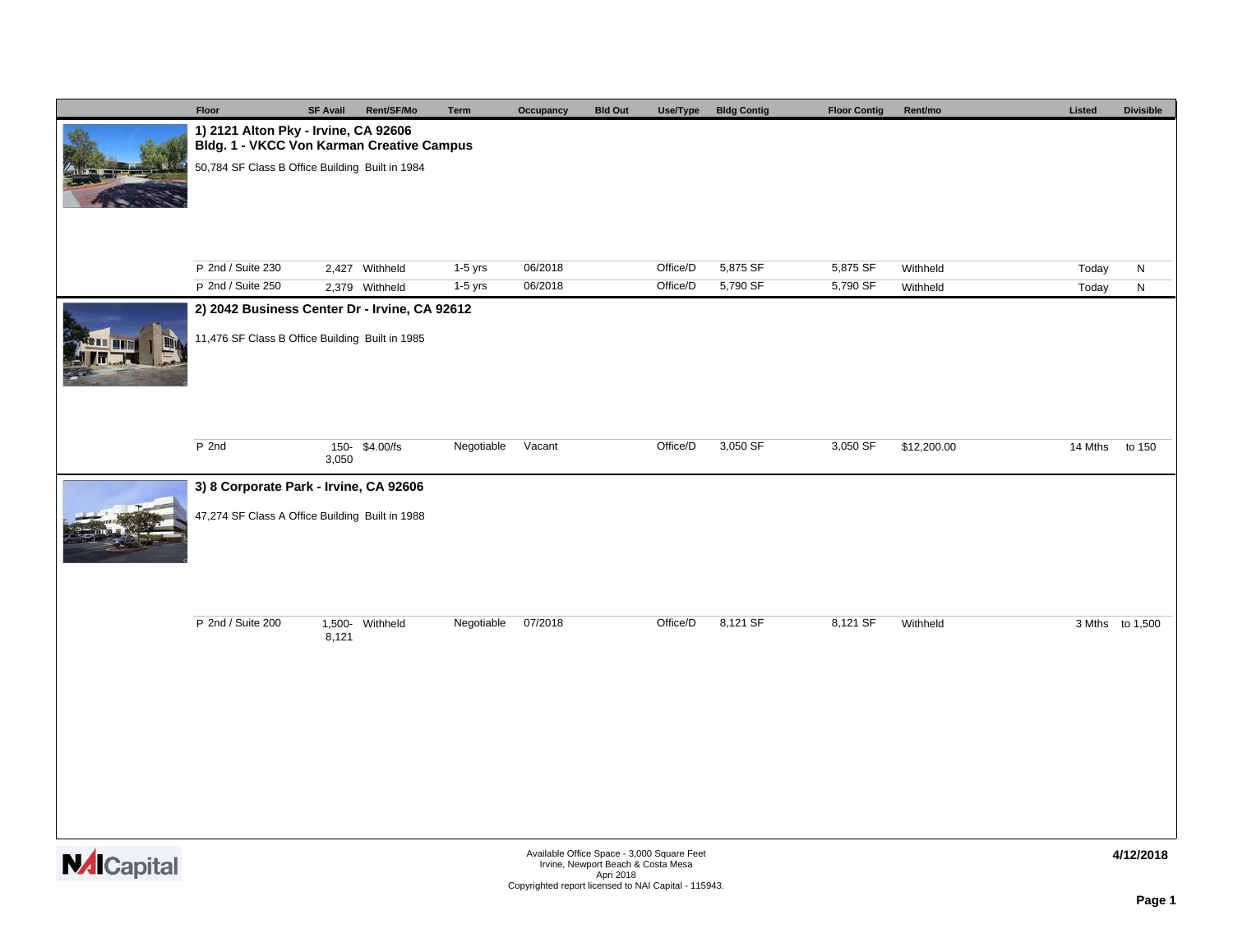|                    | Floor                                                                                              | <b>SF Avail</b> | Rent/SF/Mo                       | Term                   | Occupancy | <b>Bld Out</b>                                                                   | Use/Type | <b>Bldg Contig</b>   | <b>Floor Contig</b>  | Rent/mo              | Listed         | <b>Divisible</b> |  |
|--------------------|----------------------------------------------------------------------------------------------------|-----------------|----------------------------------|------------------------|-----------|----------------------------------------------------------------------------------|----------|----------------------|----------------------|----------------------|----------------|------------------|--|
|                    | 1) 2121 Alton Pky - Irvine, CA 92606<br>Bldg. 1 - VKCC Von Karman Creative Campus                  |                 |                                  |                        |           |                                                                                  |          |                      |                      |                      |                |                  |  |
|                    | 50,784 SF Class B Office Building Built in 1984                                                    |                 |                                  |                        |           |                                                                                  |          |                      |                      |                      |                |                  |  |
|                    | P 2nd / Suite 230                                                                                  |                 |                                  |                        | 06/2018   |                                                                                  | Office/D |                      |                      |                      |                |                  |  |
|                    | P 2nd / Suite 250                                                                                  |                 | 2,427 Withheld<br>2,379 Withheld | $1-5$ yrs<br>$1-5$ yrs | 06/2018   |                                                                                  | Office/D | 5,875 SF<br>5,790 SF | 5,875 SF<br>5,790 SF | Withheld<br>Withheld | Today<br>Today | N<br>${\sf N}$   |  |
|                    | 2) 2042 Business Center Dr - Irvine, CA 92612                                                      |                 |                                  |                        |           |                                                                                  |          |                      |                      |                      |                |                  |  |
|                    | 11,476 SF Class B Office Building Built in 1985                                                    |                 |                                  |                        |           |                                                                                  |          |                      |                      |                      |                |                  |  |
|                    | P 2nd                                                                                              |                 | 150-\$4.00/fs                    | Negotiable             | Vacant    |                                                                                  | Office/D | 3,050 SF             | 3,050 SF             | \$12,200.00          | 14 Mths        | to 150           |  |
|                    |                                                                                                    |                 |                                  |                        |           |                                                                                  |          |                      |                      |                      |                |                  |  |
|                    | 3,050<br>3) 8 Corporate Park - Irvine, CA 92606<br>47,274 SF Class A Office Building Built in 1988 |                 |                                  |                        |           |                                                                                  |          |                      |                      |                      |                |                  |  |
|                    | P 2nd / Suite 200                                                                                  | 8,121           | 1,500- Withheld                  | Negotiable             | 07/2018   |                                                                                  | Office/D | 8,121 SF             | 8,121 SF             | Withheld             |                | 3 Mths to 1,500  |  |
| <b>NAI</b> Canital |                                                                                                    |                 |                                  |                        |           | Available Office Space - 3,000 Square Feet<br>Irvine, Newport Beach & Costa Mesa |          |                      |                      |                      |                | 4/12/2018        |  |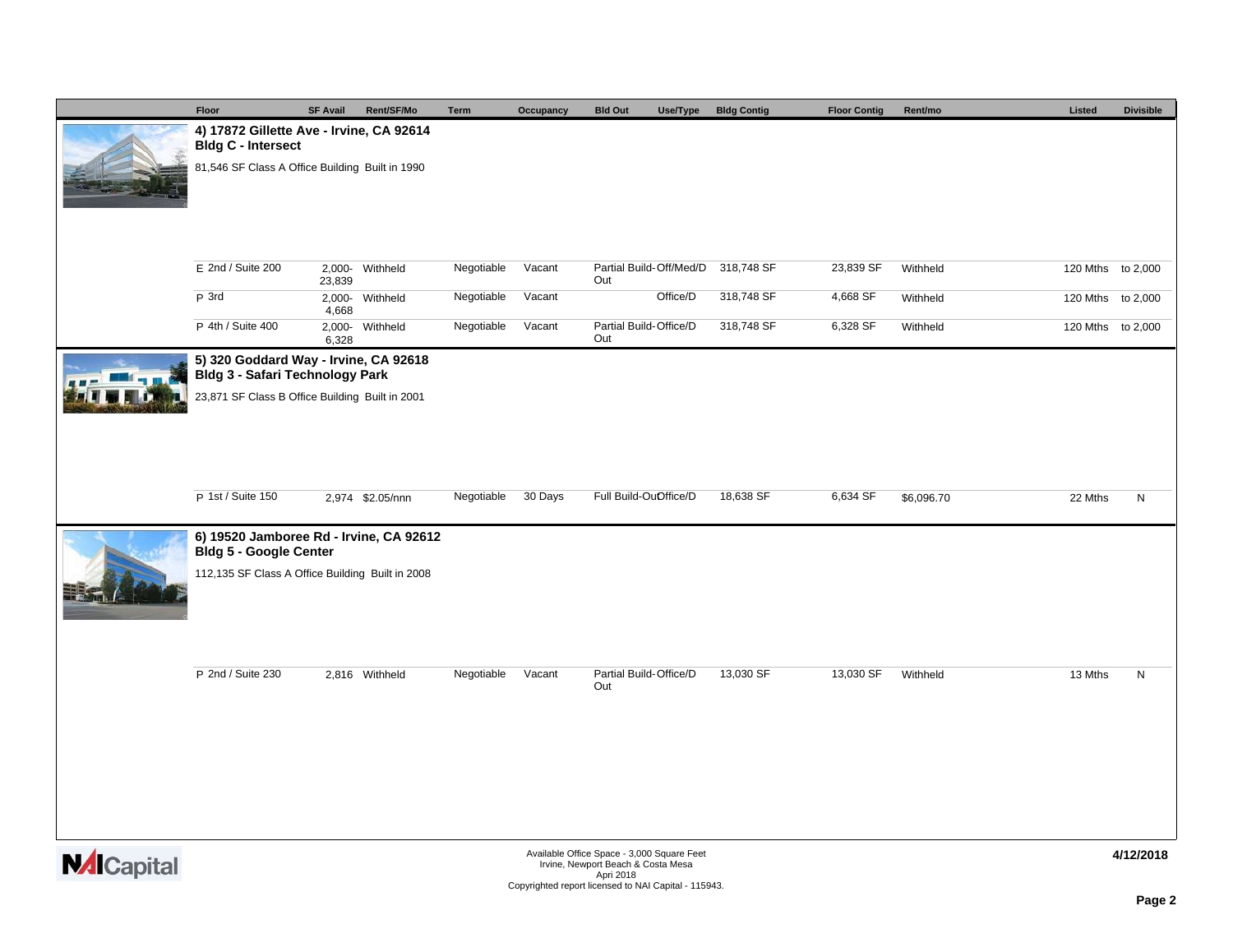|                    | Floor                                                                    | <b>SF Avail</b> | Rent/SF/Mo       | Term       | Occupancy | <b>Bld Out</b>                                                                   | Use/Type | <b>Bldg Contig</b> | <b>Floor Contig</b> | Rent/mo    | Listed  | <b>Divisible</b>  |
|--------------------|--------------------------------------------------------------------------|-----------------|------------------|------------|-----------|----------------------------------------------------------------------------------|----------|--------------------|---------------------|------------|---------|-------------------|
|                    | 4) 17872 Gillette Ave - Irvine, CA 92614<br><b>Bldg C - Intersect</b>    |                 |                  |            |           |                                                                                  |          |                    |                     |            |         |                   |
|                    | 81,546 SF Class A Office Building Built in 1990                          |                 |                  |            |           |                                                                                  |          |                    |                     |            |         |                   |
|                    |                                                                          |                 |                  |            |           |                                                                                  |          |                    |                     |            |         |                   |
|                    |                                                                          |                 |                  |            |           |                                                                                  |          |                    |                     |            |         |                   |
|                    |                                                                          |                 |                  |            |           |                                                                                  |          |                    |                     |            |         |                   |
|                    | $E$ 2nd / Suite 200                                                      |                 | 2,000- Withheld  | Negotiable | Vacant    | Partial Build-Off/Med/D                                                          |          | 318,748 SF         | 23,839 SF           | Withheld   |         | 120 Mths to 2,000 |
|                    | P 3rd                                                                    | 23,839          | 2,000- Withheld  | Negotiable | Vacant    | Out                                                                              | Office/D | 318,748 SF         | 4,668 SF            | Withheld   |         | 120 Mths to 2,000 |
|                    | P 4th / Suite 400                                                        | 4,668           | 2,000- Withheld  | Negotiable | Vacant    | Partial Build-Office/D                                                           |          | 318,748 SF         | 6,328 SF            | Withheld   |         | 120 Mths to 2,000 |
|                    |                                                                          | 6,328           |                  |            |           | Out                                                                              |          |                    |                     |            |         |                   |
|                    | 5) 320 Goddard Way - Irvine, CA 92618<br>Bldg 3 - Safari Technology Park |                 |                  |            |           |                                                                                  |          |                    |                     |            |         |                   |
|                    | 23,871 SF Class B Office Building Built in 2001                          |                 |                  |            |           |                                                                                  |          |                    |                     |            |         |                   |
|                    |                                                                          |                 |                  |            |           |                                                                                  |          |                    |                     |            |         |                   |
|                    |                                                                          |                 |                  |            |           |                                                                                  |          |                    |                     |            |         |                   |
|                    |                                                                          |                 |                  |            |           |                                                                                  |          |                    |                     |            |         |                   |
|                    | P 1st / Suite 150                                                        |                 | 2,974 \$2.05/nnn | Negotiable | 30 Days   | Full Build-OuOffice/D                                                            |          | 18,638 SF          | 6,634 SF            | \$6,096.70 | 22 Mths | N                 |
|                    | 6) 19520 Jamboree Rd - Irvine, CA 92612<br><b>Bldg 5 - Google Center</b> |                 |                  |            |           |                                                                                  |          |                    |                     |            |         |                   |
|                    | 112,135 SF Class A Office Building Built in 2008                         |                 |                  |            |           |                                                                                  |          |                    |                     |            |         |                   |
|                    |                                                                          |                 |                  |            |           |                                                                                  |          |                    |                     |            |         |                   |
|                    |                                                                          |                 |                  |            |           |                                                                                  |          |                    |                     |            |         |                   |
|                    |                                                                          |                 |                  |            |           |                                                                                  |          |                    |                     |            |         |                   |
|                    | P 2nd / Suite 230                                                        |                 | 2,816 Withheld   | Negotiable | Vacant    | Partial Build-Office/D<br>Out                                                    |          | 13,030 SF          | 13,030 SF           | Withheld   | 13 Mths | ${\sf N}$         |
|                    |                                                                          |                 |                  |            |           |                                                                                  |          |                    |                     |            |         |                   |
|                    |                                                                          |                 |                  |            |           |                                                                                  |          |                    |                     |            |         |                   |
|                    |                                                                          |                 |                  |            |           |                                                                                  |          |                    |                     |            |         |                   |
|                    |                                                                          |                 |                  |            |           |                                                                                  |          |                    |                     |            |         |                   |
|                    |                                                                          |                 |                  |            |           |                                                                                  |          |                    |                     |            |         |                   |
|                    |                                                                          |                 |                  |            |           |                                                                                  |          |                    |                     |            |         |                   |
| <b>NAI</b> Capital |                                                                          |                 |                  |            |           | Available Office Space - 3,000 Square Feet<br>Irvine, Newport Beach & Costa Mesa |          |                    |                     |            |         | 4/12/2018         |
|                    |                                                                          |                 |                  |            |           | Apri 2018<br>Copyrighted report licensed to NAI Capital - 115943.                |          |                    |                     |            |         |                   |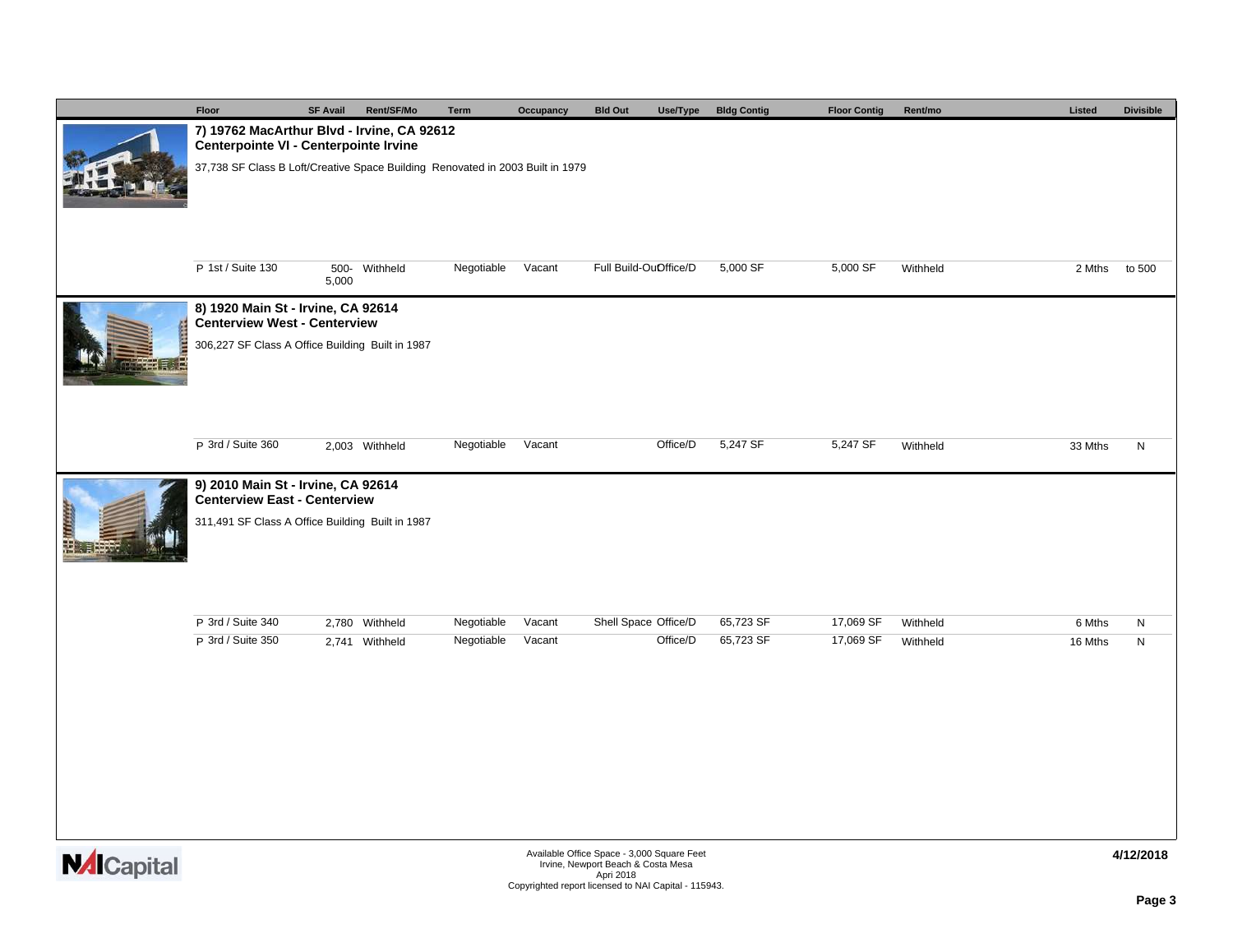|                                                        | Floor                                                                               | <b>SF Avail</b> | Rent/SF/Mo     | Term       | Occupancy | <b>Bld Out</b><br>Use/Type                                                   | <b>Bldg Contig</b> | <b>Floor Contig</b> | Rent/mo  | Listed  | <b>Divisible</b> |
|--------------------------------------------------------|-------------------------------------------------------------------------------------|-----------------|----------------|------------|-----------|------------------------------------------------------------------------------|--------------------|---------------------|----------|---------|------------------|
|                                                        | 7) 19762 MacArthur Blvd - Irvine, CA 92612<br>Centerpointe VI - Centerpointe Irvine |                 |                |            |           |                                                                              |                    |                     |          |         |                  |
|                                                        | 37,738 SF Class B Loft/Creative Space Building Renovated in 2003 Built in 1979      |                 |                |            |           |                                                                              |                    |                     |          |         |                  |
|                                                        | P 1st / Suite 130                                                                   | 5,000           | 500- Withheld  | Negotiable | Vacant    | Full Build-OuOffice/D                                                        | 5,000 SF           | 5,000 SF            | Withheld | 2 Mths  | to 500           |
|                                                        | 8) 1920 Main St - Irvine, CA 92614<br><b>Centerview West - Centerview</b>           |                 |                |            |           |                                                                              |                    |                     |          |         |                  |
|                                                        | 306,227 SF Class A Office Building Built in 1987                                    |                 |                |            |           |                                                                              |                    |                     |          |         |                  |
|                                                        | P 3rd / Suite 360                                                                   |                 | 2,003 Withheld | Negotiable | Vacant    | Office/D                                                                     | 5,247 SF           | 5,247 SF            | Withheld | 33 Mths | N                |
|                                                        | 9) 2010 Main St - Irvine, CA 92614<br><b>Centerview East - Centerview</b>           |                 |                |            |           |                                                                              |                    |                     |          |         |                  |
| <b>Urinia</b>                                          | 311,491 SF Class A Office Building Built in 1987                                    |                 |                |            |           |                                                                              |                    |                     |          |         |                  |
|                                                        | P 3rd / Suite 340                                                                   |                 | 2,780 Withheld | Negotiable | Vacant    | Shell Space Office/D                                                         | 65,723 SF          | 17,069 SF           | Withheld | 6 Mths  | N                |
|                                                        | P 3rd / Suite 350                                                                   |                 | 2,741 Withheld | Negotiable | Vacant    | Office/D                                                                     | 65,723 SF          | 17,069 SF           | Withheld | 16 Mths | N                |
|                                                        |                                                                                     |                 |                |            |           |                                                                              |                    |                     |          |         |                  |
| $M$ $\Delta$ $\sim$ $\sim$ $\sim$ $\sim$ $\sim$ $\sim$ |                                                                                     |                 |                |            |           | Available Office Space - 3,000 Square Feet<br>Index Neument Beach & Cente Me |                    |                     |          |         | 4/12/2018        |

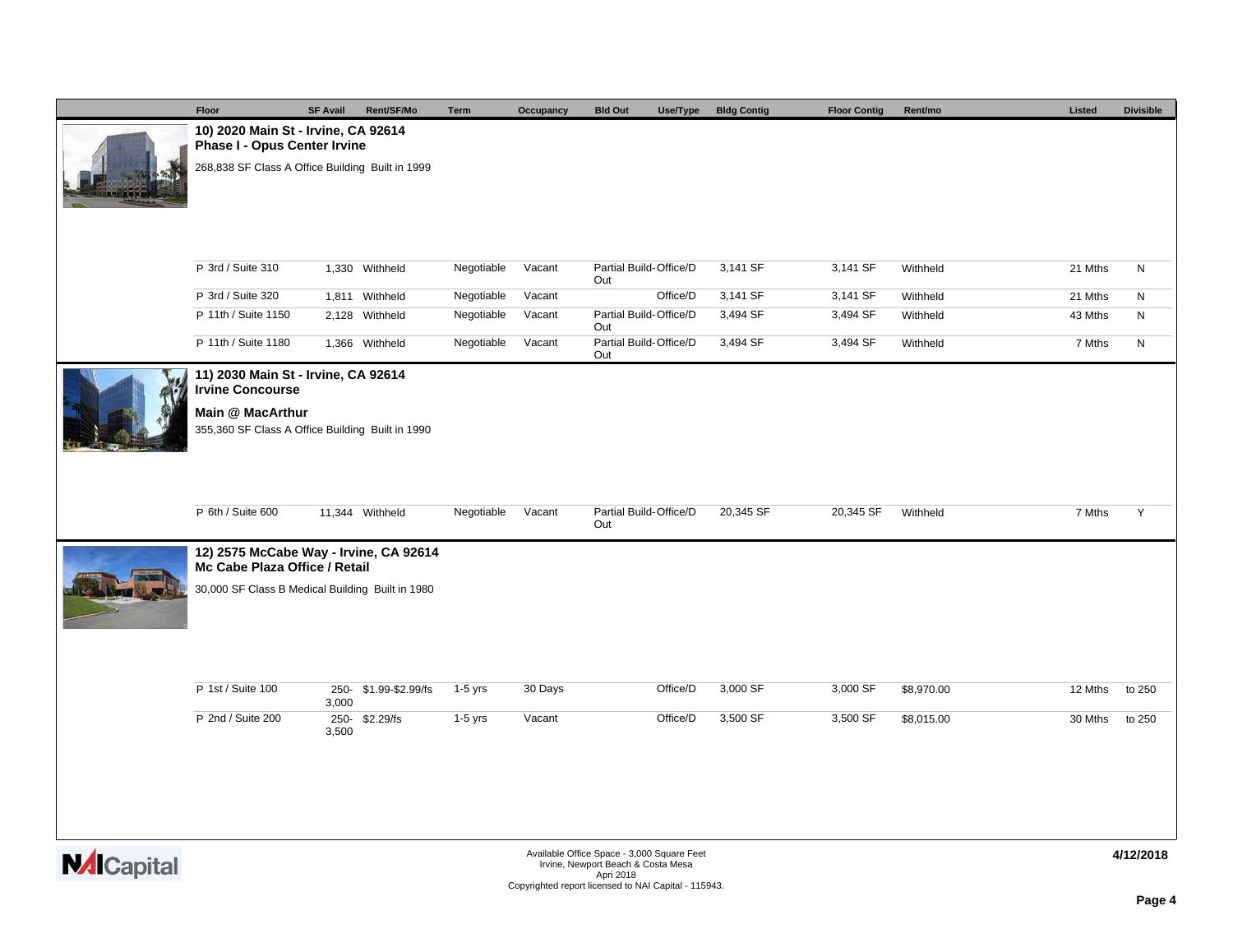|                    | Floor                                                                   | <b>SF Avail</b> | Rent/SF/Mo            | <b>Term</b> | Occupancy | <b>Bld Out</b>                                                                   | Use/Type | <b>Bldg Contig</b> | <b>Floor Contig</b> | Rent/mo    | Listed  | <b>Divisible</b> |
|--------------------|-------------------------------------------------------------------------|-----------------|-----------------------|-------------|-----------|----------------------------------------------------------------------------------|----------|--------------------|---------------------|------------|---------|------------------|
|                    | 10) 2020 Main St - Irvine, CA 92614<br>Phase I - Opus Center Irvine     |                 |                       |             |           |                                                                                  |          |                    |                     |            |         |                  |
|                    | 268,838 SF Class A Office Building Built in 1999                        |                 |                       |             |           |                                                                                  |          |                    |                     |            |         |                  |
|                    | P 3rd / Suite 310                                                       |                 | 1,330 Withheld        | Negotiable  | Vacant    | Partial Build-Office/D                                                           |          | 3,141 SF           | 3,141 SF            | Withheld   | 21 Mths | N                |
|                    | P 3rd / Suite 320                                                       |                 | 1,811 Withheld        | Negotiable  | Vacant    | Out                                                                              | Office/D | 3,141 SF           | 3,141 SF            | Withheld   | 21 Mths | N                |
|                    | P 11th / Suite 1150                                                     |                 | 2,128 Withheld        | Negotiable  | Vacant    | Partial Build-Office/D<br>Out                                                    |          | 3,494 SF           | 3,494 SF            | Withheld   | 43 Mths | $\mathsf{N}$     |
|                    | P 11th / Suite 1180                                                     |                 | 1,366 Withheld        | Negotiable  | Vacant    | Partial Build-Office/D<br>Out                                                    |          | 3,494 SF           | 3,494 SF            | Withheld   | 7 Mths  | N                |
|                    | 11) 2030 Main St - Irvine, CA 92614<br><b>Irvine Concourse</b>          |                 |                       |             |           |                                                                                  |          |                    |                     |            |         |                  |
|                    | Main @ MacArthur<br>355,360 SF Class A Office Building Built in 1990    |                 |                       |             |           |                                                                                  |          |                    |                     |            |         |                  |
|                    | P 6th / Suite 600                                                       |                 | 11,344 Withheld       | Negotiable  | Vacant    | Partial Build-Office/D<br>Out                                                    |          | 20,345 SF          | 20,345 SF           | Withheld   | 7 Mths  | Y                |
|                    | 12) 2575 McCabe Way - Irvine, CA 92614<br>Mc Cabe Plaza Office / Retail |                 |                       |             |           |                                                                                  |          |                    |                     |            |         |                  |
|                    | 30,000 SF Class B Medical Building Built in 1980                        |                 |                       |             |           |                                                                                  |          |                    |                     |            |         |                  |
|                    | P 1st / Suite 100                                                       | 3,000           | 250- \$1.99-\$2.99/fs | 1-5 yrs     | 30 Days   |                                                                                  | Office/D | 3,000 SF           | 3,000 SF            | \$8,970.00 | 12 Mths | to 250           |
|                    | P 2nd / Suite 200                                                       | 3,500           | 250-\$2.29/fs         | $1-5$ yrs   | Vacant    |                                                                                  | Office/D | 3,500 SF           | 3,500 SF            | \$8,015.00 | 30 Mths | to 250           |
|                    |                                                                         |                 |                       |             |           |                                                                                  |          |                    |                     |            |         |                  |
| <b>NAI</b> Capital |                                                                         |                 |                       |             |           | Available Office Space - 3,000 Square Feet<br>Irvine, Newport Beach & Costa Mesa |          |                    |                     |            |         | 4/12/2018        |
|                    |                                                                         |                 |                       |             |           | Apri 2018<br>Copyrighted report licensed to NAI Capital - 115943.                |          |                    |                     |            |         |                  |

**Page 4**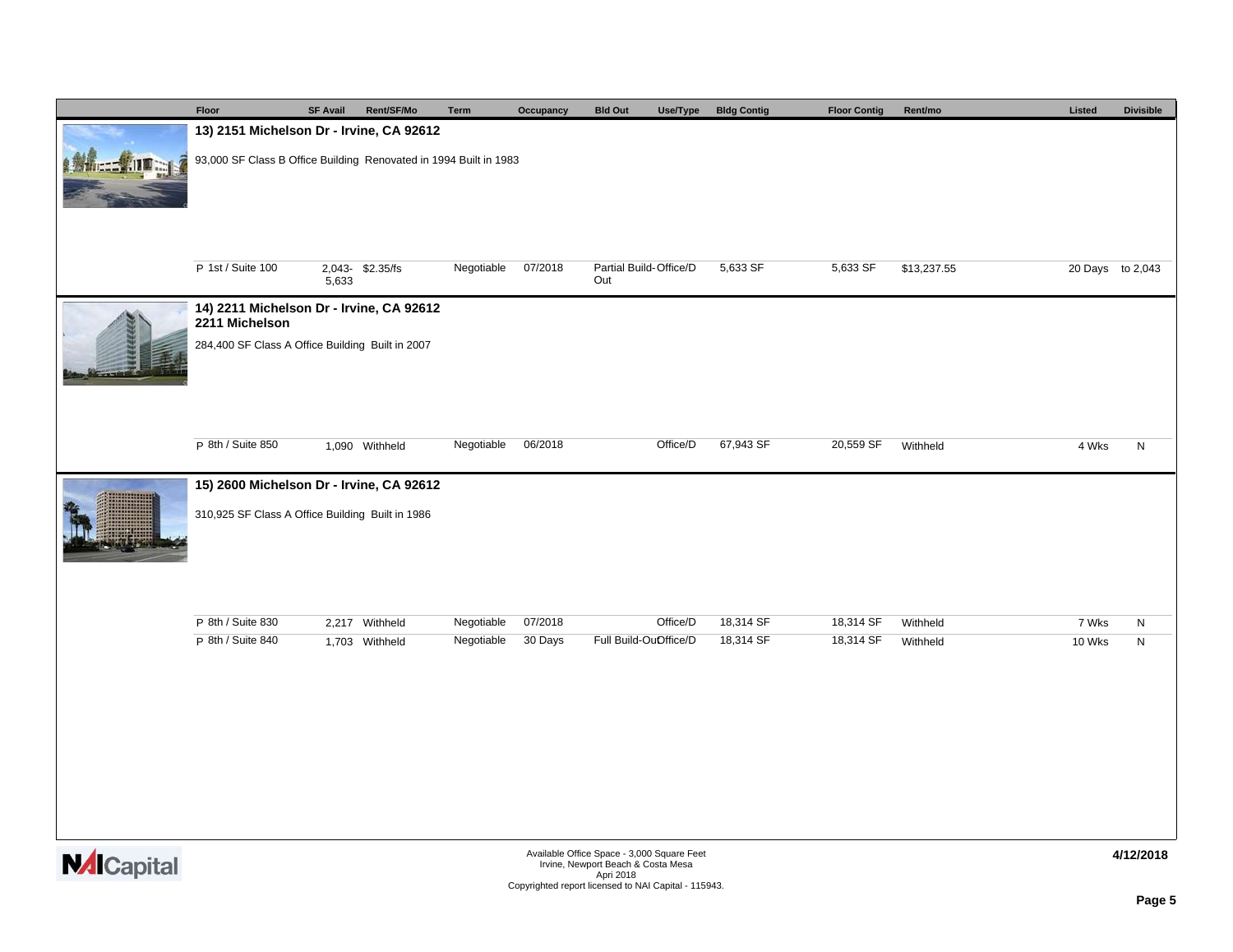|                  | Floor                                                                                        | <b>SF Avail</b> | Rent/SF/Mo      | Term       | Occupancy | <b>Bld Out</b><br>Use/Type                                                       | <b>Bldg Contig</b> | <b>Floor Contig</b> | Rent/mo     | Listed           | <b>Divisible</b> |  |  |
|------------------|----------------------------------------------------------------------------------------------|-----------------|-----------------|------------|-----------|----------------------------------------------------------------------------------|--------------------|---------------------|-------------|------------------|------------------|--|--|
|                  | 13) 2151 Michelson Dr - Irvine, CA 92612                                                     |                 |                 |            |           |                                                                                  |                    |                     |             |                  |                  |  |  |
|                  | 93,000 SF Class B Office Building Renovated in 1994 Built in 1983                            |                 |                 |            |           |                                                                                  |                    |                     |             |                  |                  |  |  |
|                  | P 1st / Suite 100                                                                            | 5,633           | 2,043-\$2.35/fs | Negotiable | 07/2018   | Partial Build-Office/D<br>Out                                                    | 5,633 SF           | 5,633 SF            | \$13,237.55 | 20 Days to 2,043 |                  |  |  |
|                  | 14) 2211 Michelson Dr - Irvine, CA 92612<br>2211 Michelson                                   |                 |                 |            |           |                                                                                  |                    |                     |             |                  |                  |  |  |
|                  | 284,400 SF Class A Office Building Built in 2007                                             |                 |                 |            |           |                                                                                  |                    |                     |             |                  |                  |  |  |
|                  | P 8th / Suite 850                                                                            |                 | 1,090 Withheld  | Negotiable | 06/2018   | Office/D                                                                         | 67,943 SF          | 20,559 SF           | Withheld    | 4 Wks            | $\mathsf{N}$     |  |  |
|                  |                                                                                              |                 |                 |            |           |                                                                                  |                    |                     |             |                  |                  |  |  |
|                  | 15) 2600 Michelson Dr - Irvine, CA 92612<br>310,925 SF Class A Office Building Built in 1986 |                 |                 |            |           |                                                                                  |                    |                     |             |                  |                  |  |  |
|                  | P 8th / Suite 830                                                                            |                 | 2,217 Withheld  | Negotiable | 07/2018   | Office/D                                                                         | 18,314 SF          | 18,314 SF           | Withheld    | 7 Wks            | $\mathsf{N}$     |  |  |
|                  | P 8th / Suite 840                                                                            |                 | 1,703 Withheld  | Negotiable | 30 Days   | Full Build-OuOffice/D                                                            | 18,314 SF          | 18,314 SF           | Withheld    | 10 Wks           | ${\sf N}$        |  |  |
| <b>M</b> Capital |                                                                                              |                 |                 |            |           | Available Office Space - 3,000 Square Feet<br>Irvine, Newport Beach & Costa Mesa |                    |                     |             |                  | 4/12/2018        |  |  |
|                  |                                                                                              |                 |                 |            |           | Apri 2018<br>Copyrighted report licensed to NAI Capital - 115943.                |                    |                     |             |                  |                  |  |  |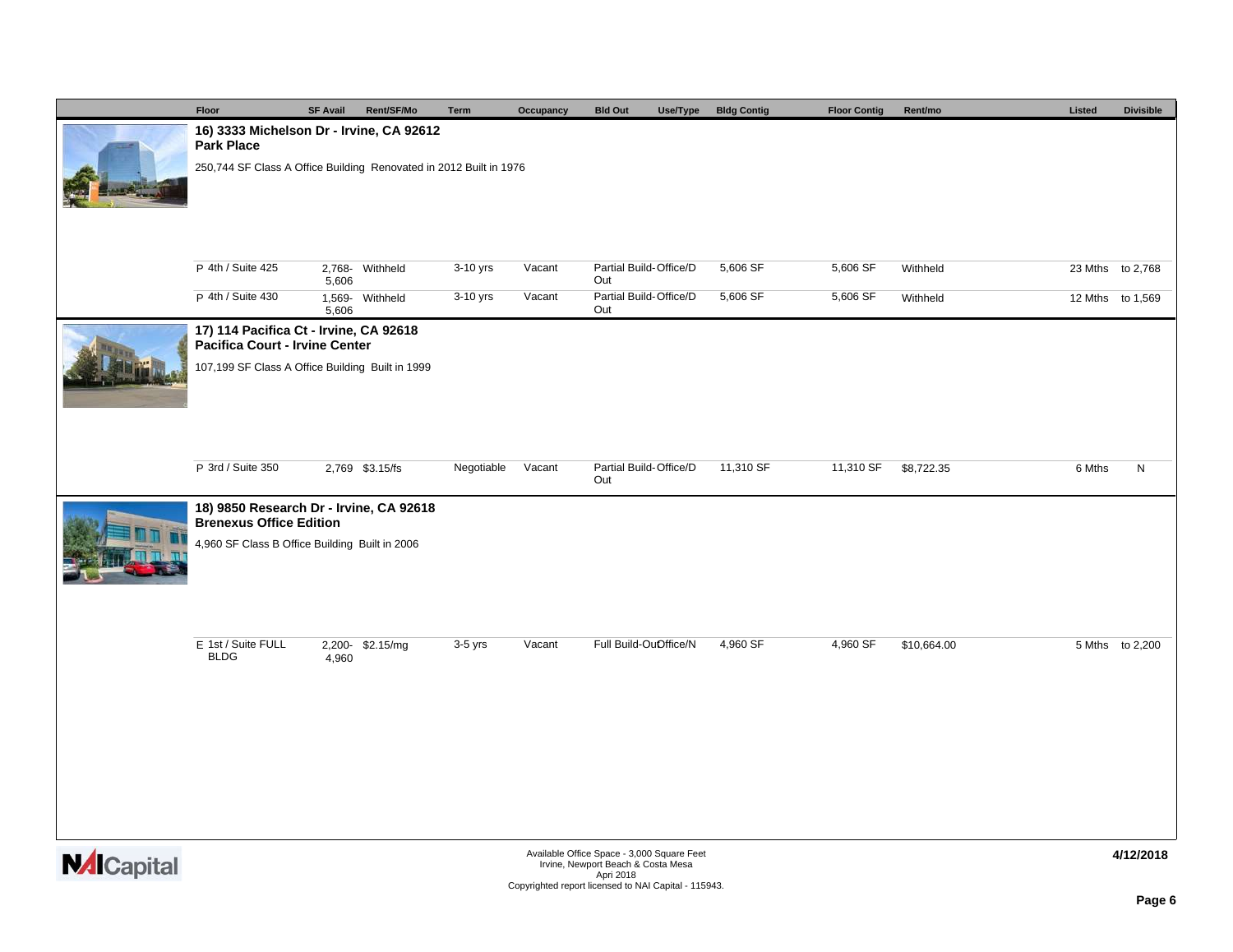| Floor                                                                     | <b>SF Avail</b> | Rent/SF/Mo      | Term       | Occupancy | <b>Bld Out</b>                             | Use/Type | <b>Bldg Contig</b> | <b>Floor Contig</b> | Rent/mo     | Listed | <b>Divisible</b> |
|---------------------------------------------------------------------------|-----------------|-----------------|------------|-----------|--------------------------------------------|----------|--------------------|---------------------|-------------|--------|------------------|
| 16) 3333 Michelson Dr - Irvine, CA 92612<br>Park Place                    |                 |                 |            |           |                                            |          |                    |                     |             |        |                  |
| 250,744 SF Class A Office Building Renovated in 2012 Built in 1976        |                 |                 |            |           |                                            |          |                    |                     |             |        |                  |
|                                                                           |                 |                 |            |           |                                            |          |                    |                     |             |        |                  |
| P 4th / Suite 425                                                         | 5,606           | 2,768- Withheld | 3-10 yrs   | Vacant    | Partial Build-Office/D<br>Out              |          | 5,606 SF           | 5,606 SF            | Withheld    |        | 23 Mths to 2,768 |
| P 4th / Suite 430                                                         | 5,606           | 1,569- Withheld | 3-10 yrs   | Vacant    | Partial Build-Office/D<br>Out              |          | 5,606 SF           | 5,606 SF            | Withheld    |        | 12 Mths to 1,569 |
| 17) 114 Pacifica Ct - Irvine, CA 92618<br>Pacifica Court - Irvine Center  |                 |                 |            |           |                                            |          |                    |                     |             |        |                  |
| 107,199 SF Class A Office Building Built in 1999                          |                 |                 |            |           |                                            |          |                    |                     |             |        |                  |
|                                                                           |                 |                 |            |           |                                            |          |                    |                     |             |        |                  |
|                                                                           |                 |                 |            |           |                                            |          |                    |                     |             |        |                  |
| P 3rd / Suite 350                                                         |                 | 2,769 \$3.15/fs | Negotiable | Vacant    | Partial Build-Office/D<br>Out              |          | 11,310 SF          | 11,310 SF           | \$8,722.35  | 6 Mths | ${\sf N}$        |
| 18) 9850 Research Dr - Irvine, CA 92618<br><b>Brenexus Office Edition</b> |                 |                 |            |           |                                            |          |                    |                     |             |        |                  |
| 4,960 SF Class B Office Building Built in 2006                            |                 |                 |            |           |                                            |          |                    |                     |             |        |                  |
|                                                                           |                 |                 |            |           |                                            |          |                    |                     |             |        |                  |
| E 1st / Suite FULL<br><b>BLDG</b>                                         | 4,960           | 2,200-\$2.15/mg | $3-5$ yrs  | Vacant    | Full Build-OuOffice/N                      |          | 4,960 SF           | 4,960 SF            | \$10,664.00 |        | 5 Mths to 2,200  |
|                                                                           |                 |                 |            |           |                                            |          |                    |                     |             |        |                  |
|                                                                           |                 |                 |            |           |                                            |          |                    |                     |             |        |                  |
|                                                                           |                 |                 |            |           |                                            |          |                    |                     |             |        |                  |
|                                                                           |                 |                 |            |           |                                            |          |                    |                     |             |        |                  |
|                                                                           |                 |                 |            |           | Available Office Space - 3,000 Square Feet |          |                    |                     |             |        | 4/12/2018        |

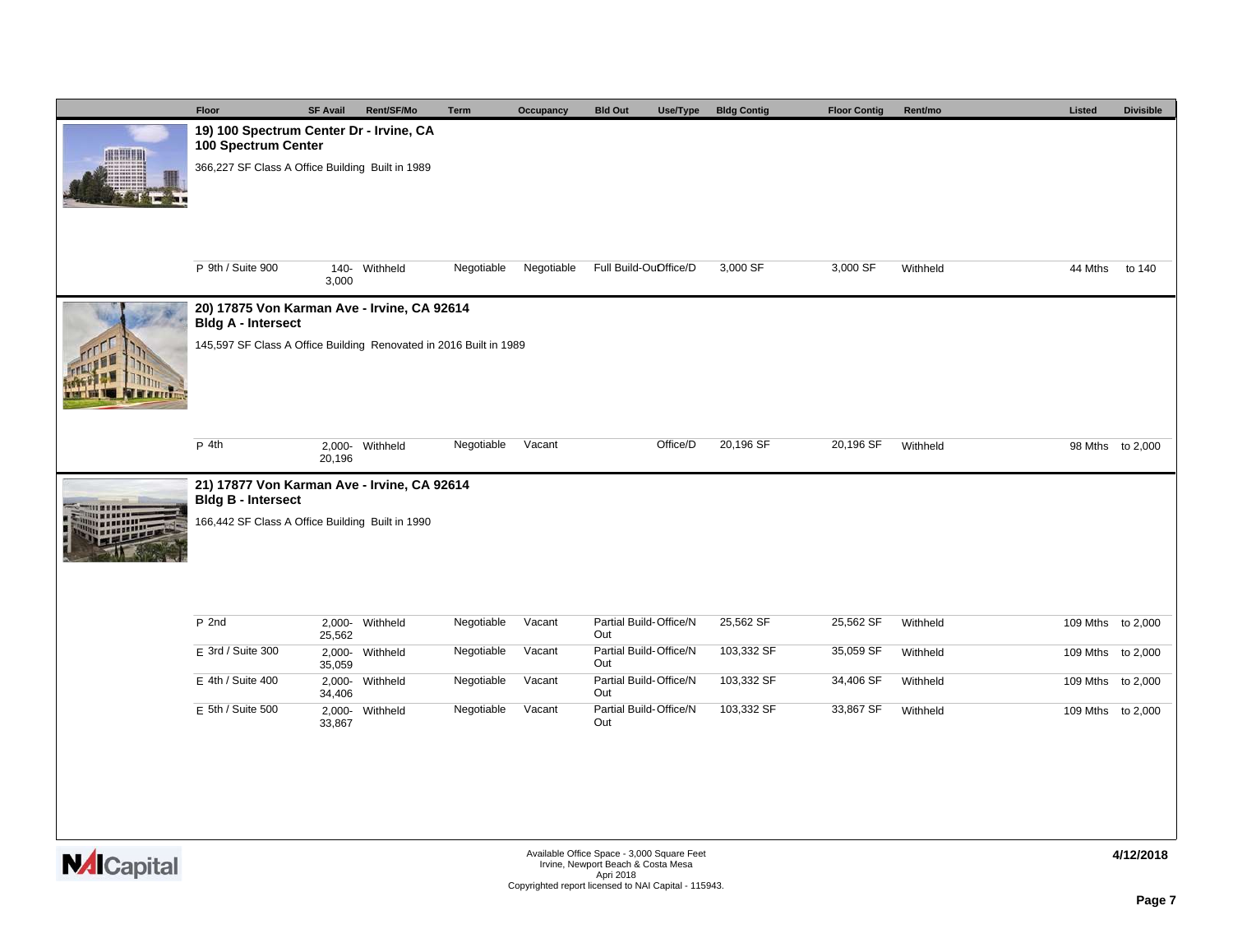|                 | Floor                                                                                                                                          | <b>SF Avail</b>     | Rent/SF/Mo      | <b>Term</b> | Occupancy  | <b>Bld Out</b><br>Use/Type    | <b>Bldg Contig</b> | <b>Floor Contig</b> | Rent/mo  | Listed            | <b>Divisible</b> |  |  |  |  |
|-----------------|------------------------------------------------------------------------------------------------------------------------------------------------|---------------------|-----------------|-------------|------------|-------------------------------|--------------------|---------------------|----------|-------------------|------------------|--|--|--|--|
| <b>ARRIVERS</b> | 19) 100 Spectrum Center Dr - Irvine, CA<br>100 Spectrum Center                                                                                 |                     |                 |             |            |                               |                    |                     |          |                   |                  |  |  |  |  |
|                 | 366,227 SF Class A Office Building Built in 1989                                                                                               |                     |                 |             |            |                               |                    |                     |          |                   |                  |  |  |  |  |
|                 |                                                                                                                                                |                     |                 |             |            |                               |                    |                     |          |                   |                  |  |  |  |  |
|                 | P 9th / Suite 900                                                                                                                              | 140-<br>3,000       | Withheld        | Negotiable  | Negotiable | Full Build-OuOffice/D         | 3,000 SF           | 3,000 SF            | Withheld | 44 Mths           | to 140           |  |  |  |  |
|                 | 20) 17875 Von Karman Ave - Irvine, CA 92614<br><b>Bldg A - Intersect</b><br>145,597 SF Class A Office Building Renovated in 2016 Built in 1989 |                     |                 |             |            |                               |                    |                     |          |                   |                  |  |  |  |  |
|                 |                                                                                                                                                |                     |                 |             |            |                               |                    |                     |          |                   |                  |  |  |  |  |
|                 | P 4th                                                                                                                                          | 20,196              | 2,000- Withheld | Negotiable  | Vacant     | Office/D                      | 20,196 SF          | 20,196 SF           | Withheld |                   | 98 Mths to 2,000 |  |  |  |  |
|                 | 21) 17877 Von Karman Ave - Irvine, CA 92614<br><b>Bldg B - Intersect</b>                                                                       |                     |                 |             |            |                               |                    |                     |          |                   |                  |  |  |  |  |
|                 | 166,442 SF Class A Office Building Built in 1990                                                                                               |                     |                 |             |            |                               |                    |                     |          |                   |                  |  |  |  |  |
|                 | $P$ 2nd                                                                                                                                        |                     |                 | Negotiable  | Vacant     | Partial Build-Office/N        | 25,562 SF          | 25,562 SF           |          |                   |                  |  |  |  |  |
|                 |                                                                                                                                                | $2,000 -$<br>25,562 | Withheld        |             |            | Out                           |                    |                     | Withheld | 109 Mths to 2,000 |                  |  |  |  |  |
|                 | E 3rd / Suite 300                                                                                                                              | $2,000 -$<br>35,059 | Withheld        | Negotiable  | Vacant     | Partial Build-Office/N<br>Out | 103,332 SF         | 35,059 SF           | Withheld | 109 Mths          | to 2,000         |  |  |  |  |
|                 | $E$ 4th / Suite 400                                                                                                                            | 34,406              | 2,000- Withheld | Negotiable  | Vacant     | Partial Build-Office/N<br>Out | 103,332 SF         | 34,406 SF           | Withheld | 109 Mths to 2,000 |                  |  |  |  |  |
|                 | $E$ 5th / Suite 500                                                                                                                            | 33,867              | 2,000- Withheld | Negotiable  | Vacant     | Partial Build-Office/N<br>Out | 103,332 SF         | 33,867 SF           | Withheld | 109 Mths to 2,000 |                  |  |  |  |  |
|                 |                                                                                                                                                |                     |                 |             |            |                               |                    |                     |          |                   |                  |  |  |  |  |
|                 |                                                                                                                                                |                     |                 |             |            |                               |                    |                     |          |                   |                  |  |  |  |  |

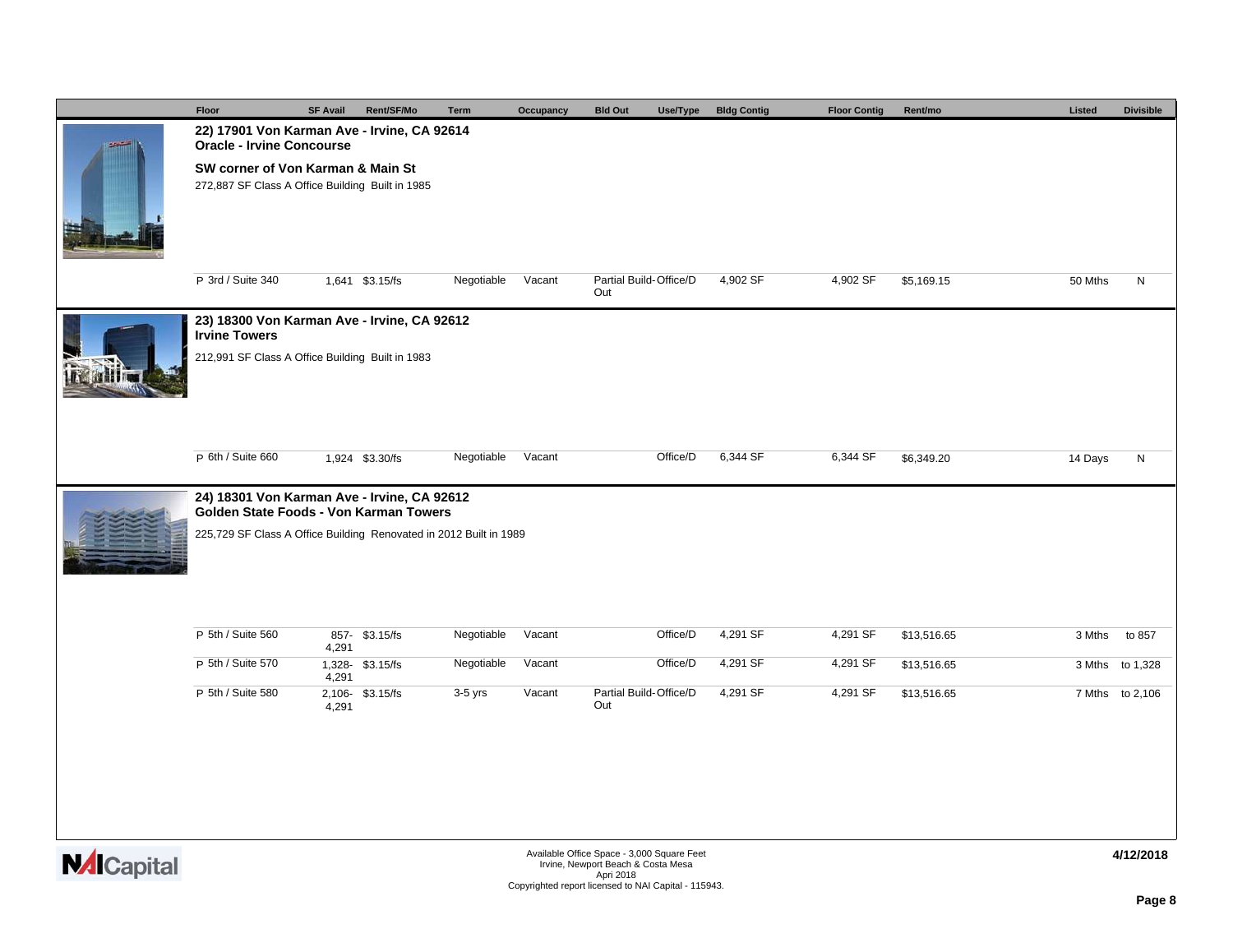|                                                | Floor                                                                                                                                                       | <b>SF Avail</b> | Rent/SF/Mo      | Term       | Occupancy | <b>Bld Out</b><br>Use/Type                 | <b>Bldg Contig</b> | <b>Floor Contig</b> | Rent/mo     | Listed  | <b>Divisible</b> |  |  |
|------------------------------------------------|-------------------------------------------------------------------------------------------------------------------------------------------------------------|-----------------|-----------------|------------|-----------|--------------------------------------------|--------------------|---------------------|-------------|---------|------------------|--|--|
| $-14 - 4$                                      | 22) 17901 Von Karman Ave - Irvine, CA 92614<br><b>Oracle - Irvine Concourse</b>                                                                             |                 |                 |            |           |                                            |                    |                     |             |         |                  |  |  |
|                                                | SW corner of Von Karman & Main St<br>272,887 SF Class A Office Building Built in 1985                                                                       |                 |                 |            |           |                                            |                    |                     |             |         |                  |  |  |
|                                                | P 3rd / Suite 340                                                                                                                                           |                 | 1,641 \$3.15/fs | Negotiable | Vacant    | Partial Build-Office/D<br>Out              | 4,902 SF           | 4,902 SF            | \$5,169.15  | 50 Mths | N                |  |  |
|                                                | 23) 18300 Von Karman Ave - Irvine, CA 92612<br><b>Irvine Towers</b>                                                                                         |                 |                 |            |           |                                            |                    |                     |             |         |                  |  |  |
|                                                | 212,991 SF Class A Office Building Built in 1983                                                                                                            |                 |                 |            |           |                                            |                    |                     |             |         |                  |  |  |
|                                                | P 6th / Suite 660                                                                                                                                           |                 | 1,924 \$3.30/fs | Negotiable | Vacant    | Office/D                                   | 6,344 SF           | 6,344 SF            | \$6,349.20  | 14 Days | N                |  |  |
|                                                |                                                                                                                                                             |                 |                 |            |           |                                            |                    |                     |             |         |                  |  |  |
|                                                | 24) 18301 Von Karman Ave - Irvine, CA 92612<br>Golden State Foods - Von Karman Towers<br>225,729 SF Class A Office Building Renovated in 2012 Built in 1989 |                 |                 |            |           |                                            |                    |                     |             |         |                  |  |  |
|                                                | P 5th / Suite 560                                                                                                                                           |                 | 857- \$3.15/fs  | Negotiable | Vacant    | Office/D                                   | 4,291 SF           | 4,291 SF            | \$13,516.65 | 3 Mths  | to 857           |  |  |
|                                                | P 5th / Suite 570                                                                                                                                           | 4,291           | 1,328-\$3.15/fs | Negotiable | Vacant    | Office/D                                   | 4,291 SF           | 4,291 SF            | \$13,516.65 |         | 3 Mths to 1,328  |  |  |
|                                                | P 5th / Suite 580                                                                                                                                           | 4,291           | 2,106-\$3.15/fs | $3-5$ yrs  | Vacant    | Partial Build-Office/D                     | 4,291 SF           | 4,291 SF            | \$13,516.65 |         | 7 Mths to 2,106  |  |  |
|                                                |                                                                                                                                                             | 4,291           |                 |            |           | Out                                        |                    |                     |             |         |                  |  |  |
|                                                |                                                                                                                                                             |                 |                 |            |           |                                            |                    |                     |             |         |                  |  |  |
| $\mathbf{H}$ and $\mathbf{H}$ and $\mathbf{H}$ |                                                                                                                                                             |                 |                 |            |           | Available Office Space - 3,000 Square Feet |                    |                     |             |         | 4/12/2018        |  |  |

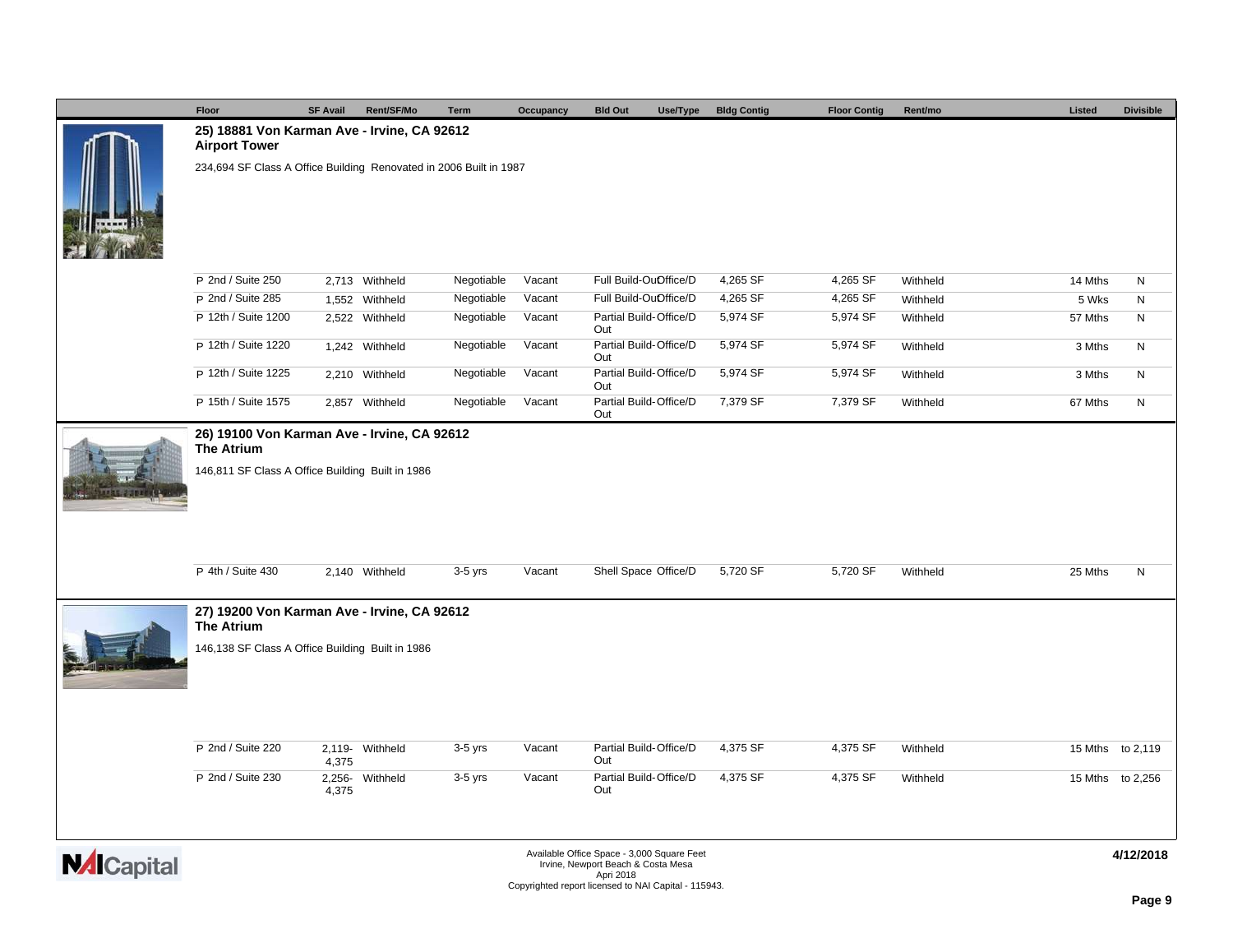|                    | Floor                                                                                                                | <b>SF Avail</b> | Rent/SF/Mo      | <b>Term</b> | Occupancy | <b>Bld Out</b>                                                                                                                                        | Use/Type | <b>Bldg Contig</b> | <b>Floor Contig</b> | Rent/mo  |  | Listed  | <b>Divisible</b> |  |
|--------------------|----------------------------------------------------------------------------------------------------------------------|-----------------|-----------------|-------------|-----------|-------------------------------------------------------------------------------------------------------------------------------------------------------|----------|--------------------|---------------------|----------|--|---------|------------------|--|
|                    | 25) 18881 Von Karman Ave - Irvine, CA 92612<br><b>Airport Tower</b>                                                  |                 |                 |             |           |                                                                                                                                                       |          |                    |                     |          |  |         |                  |  |
|                    | 234,694 SF Class A Office Building Renovated in 2006 Built in 1987                                                   |                 |                 |             |           |                                                                                                                                                       |          |                    |                     |          |  |         |                  |  |
|                    | P 2nd / Suite 250                                                                                                    |                 | 2,713 Withheld  | Negotiable  | Vacant    | Full Build-OuOffice/D                                                                                                                                 |          | 4,265 SF           | 4,265 SF            | Withheld |  | 14 Mths | N                |  |
|                    | P 2nd / Suite 285                                                                                                    |                 | 1,552 Withheld  | Negotiable  | Vacant    | Full Build-OuOffice/D                                                                                                                                 |          | 4,265 SF           | 4,265 SF            | Withheld |  | 5 Wks   | N                |  |
|                    | P 12th / Suite 1200                                                                                                  |                 | 2,522 Withheld  | Negotiable  | Vacant    | Partial Build-Office/D<br>Out                                                                                                                         |          | 5,974 SF           | 5,974 SF            | Withheld |  | 57 Mths | N                |  |
|                    | P 12th / Suite 1220                                                                                                  |                 | 1,242 Withheld  | Negotiable  | Vacant    | Partial Build-Office/D<br>Out                                                                                                                         |          | 5,974 SF           | 5,974 SF            | Withheld |  | 3 Mths  | N                |  |
|                    | P 12th / Suite 1225                                                                                                  |                 | 2,210 Withheld  | Negotiable  | Vacant    | Partial Build-Office/D<br>Out                                                                                                                         |          | 5,974 SF           | 5,974 SF            | Withheld |  | 3 Mths  | N                |  |
|                    | P 15th / Suite 1575                                                                                                  |                 | 2,857 Withheld  | Negotiable  | Vacant    | Partial Build-Office/D<br>Out                                                                                                                         |          | 7,379 SF           | 7,379 SF            | Withheld |  | 67 Mths | N                |  |
|                    | 26) 19100 Von Karman Ave - Irvine, CA 92612<br><b>The Atrium</b><br>146,811 SF Class A Office Building Built in 1986 |                 |                 |             |           |                                                                                                                                                       |          |                    |                     |          |  |         |                  |  |
|                    | P 4th / Suite 430                                                                                                    |                 | 2,140 Withheld  | 3-5 yrs     | Vacant    | Shell Space Office/D                                                                                                                                  |          | 5,720 SF           | 5,720 SF            | Withheld |  | 25 Mths | N                |  |
|                    | 27) 19200 Von Karman Ave - Irvine, CA 92612<br><b>The Atrium</b><br>146,138 SF Class A Office Building Built in 1986 |                 |                 |             |           |                                                                                                                                                       |          |                    |                     |          |  |         |                  |  |
|                    | P 2nd / Suite 220                                                                                                    | 4,375           | 2,119- Withheld | $3-5$ yrs   | Vacant    | Partial Build-Office/D<br>Out                                                                                                                         |          | 4,375 SF           | 4,375 SF            | Withheld |  |         | 15 Mths to 2,119 |  |
|                    | P 2nd / Suite 230                                                                                                    | 4,375           | 2,256- Withheld | $3-5$ yrs   | Vacant    | Partial Build-Office/D<br>Out                                                                                                                         |          | 4,375 SF           | 4,375 SF            | Withheld |  |         | 15 Mths to 2,256 |  |
| <b>NAI</b> Capital |                                                                                                                      |                 |                 |             |           | Available Office Space - 3,000 Square Feet<br>Irvine, Newport Beach & Costa Mesa<br>Apri 2018<br>Copyrighted report licensed to NAI Capital - 115943. |          |                    |                     |          |  |         | 4/12/2018        |  |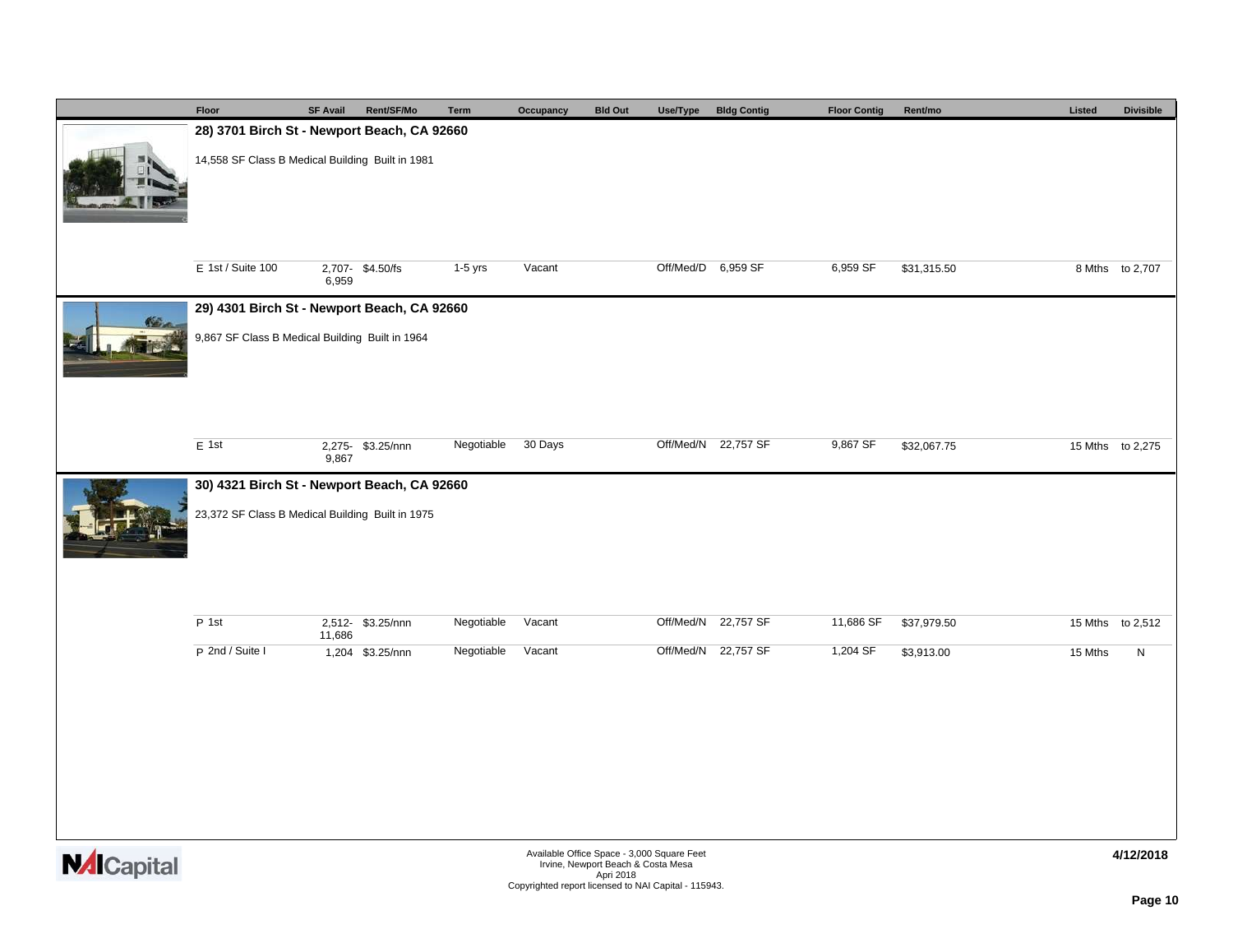|                    | Floor                                            | <b>SF Avail</b> | Rent/SF/Mo        | Term       | Occupancy                                            | <b>Bld Out</b>                                                                   | Use/Type           | <b>Bldg Contig</b>  | <b>Floor Contig</b> | Rent/mo     | Listed  | <b>Divisible</b> |  |  |  |
|--------------------|--------------------------------------------------|-----------------|-------------------|------------|------------------------------------------------------|----------------------------------------------------------------------------------|--------------------|---------------------|---------------------|-------------|---------|------------------|--|--|--|
|                    | 28) 3701 Birch St - Newport Beach, CA 92660      |                 |                   |            |                                                      |                                                                                  |                    |                     |                     |             |         |                  |  |  |  |
|                    | 14,558 SF Class B Medical Building Built in 1981 |                 |                   |            |                                                      |                                                                                  |                    |                     |                     |             |         |                  |  |  |  |
|                    | E 1st / Suite 100                                | 6,959           | 2,707-\$4.50/fs   | 1-5 yrs    | Vacant                                               |                                                                                  | Off/Med/D 6,959 SF |                     | 6,959 SF            | \$31,315.50 |         | 8 Mths to 2,707  |  |  |  |
|                    | 29) 4301 Birch St - Newport Beach, CA 92660      |                 |                   |            |                                                      |                                                                                  |                    |                     |                     |             |         |                  |  |  |  |
|                    | 9,867 SF Class B Medical Building Built in 1964  |                 |                   |            |                                                      |                                                                                  |                    |                     |                     |             |         |                  |  |  |  |
|                    | E 1st                                            | 9,867           | 2,275- \$3.25/nnn | Negotiable | 30 Days                                              |                                                                                  |                    | Off/Med/N 22,757 SF | 9,867 SF            | \$32,067.75 |         | 15 Mths to 2,275 |  |  |  |
|                    | 30) 4321 Birch St - Newport Beach, CA 92660      |                 |                   |            |                                                      |                                                                                  |                    |                     |                     |             |         |                  |  |  |  |
|                    | 23,372 SF Class B Medical Building Built in 1975 |                 |                   |            |                                                      |                                                                                  |                    |                     |                     |             |         |                  |  |  |  |
|                    | P 1st                                            | 11,686          | 2,512- \$3.25/nnn | Negotiable | Vacant                                               |                                                                                  |                    | Off/Med/N 22,757 SF | 11,686 SF           | \$37,979.50 |         | 15 Mths to 2,512 |  |  |  |
|                    | P 2nd / Suite I                                  |                 | 1,204 \$3.25/nnn  | Negotiable | Vacant                                               |                                                                                  |                    | Off/Med/N 22,757 SF | 1,204 SF            | \$3,913.00  | 15 Mths | N                |  |  |  |
|                    |                                                  |                 |                   |            |                                                      |                                                                                  |                    |                     |                     |             |         |                  |  |  |  |
| <b>NAI</b> Capital |                                                  |                 |                   |            |                                                      | Available Office Space - 3,000 Square Feet<br>Irvine, Newport Beach & Costa Mesa |                    |                     |                     |             |         | 4/12/2018        |  |  |  |
|                    |                                                  |                 |                   |            | Copyrighted report licensed to NAI Capital - 115943. | Apri 2018                                                                        |                    |                     |                     |             |         |                  |  |  |  |

**Page 10**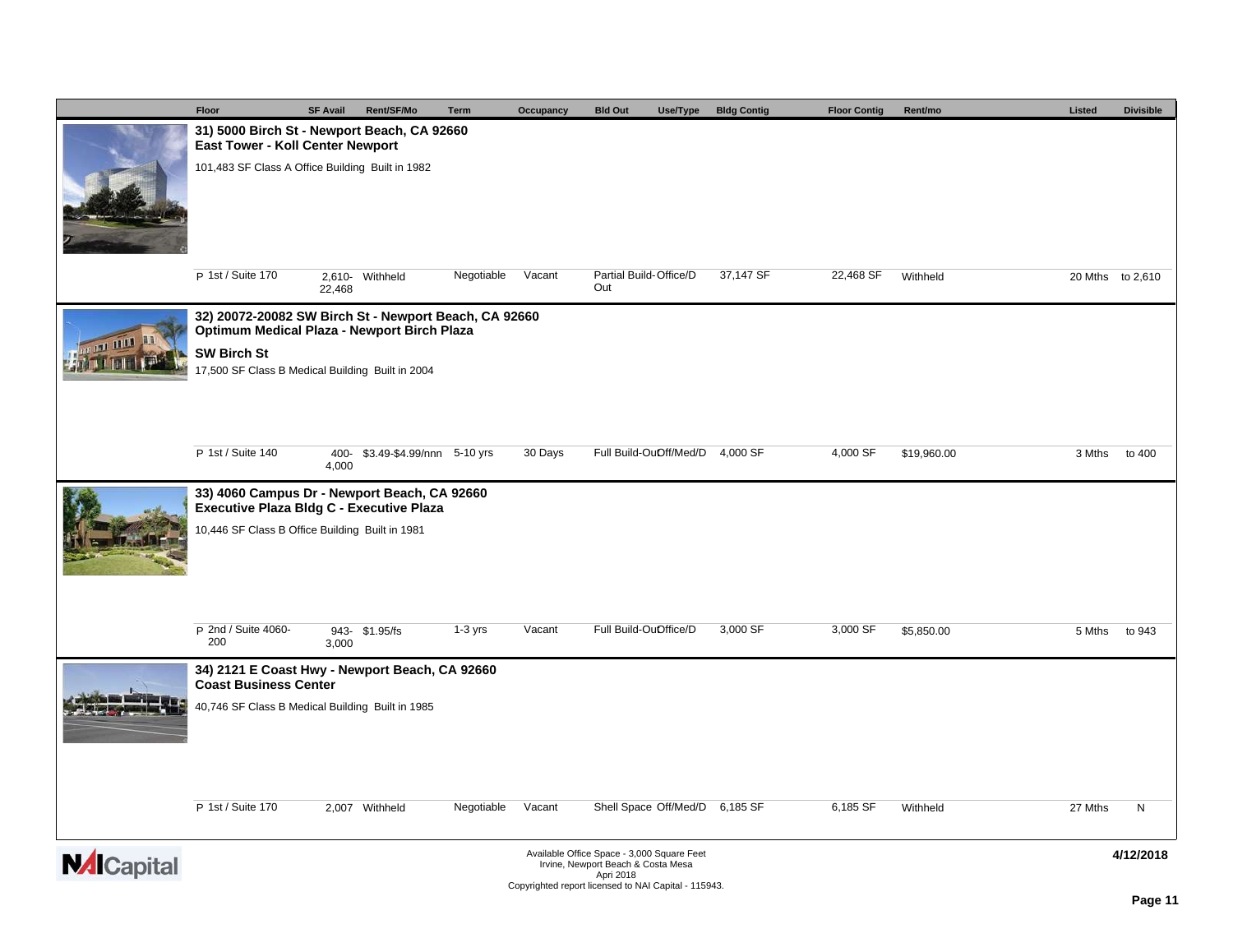|   | Floor                                                                                                | <b>SF Avail</b> | Rent/SF/Mo                 | <b>Term</b> | Occupancy | <b>Bld Out</b>                             | Use/Type | <b>Bldg Contig</b> | <b>Floor Contig</b> | Rent/mo     | Listed  | <b>Divisible</b> |
|---|------------------------------------------------------------------------------------------------------|-----------------|----------------------------|-------------|-----------|--------------------------------------------|----------|--------------------|---------------------|-------------|---------|------------------|
|   | 31) 5000 Birch St - Newport Beach, CA 92660<br>East Tower - Koll Center Newport                      |                 |                            |             |           |                                            |          |                    |                     |             |         |                  |
|   | 101,483 SF Class A Office Building Built in 1982                                                     |                 |                            |             |           |                                            |          |                    |                     |             |         |                  |
|   |                                                                                                      |                 |                            |             |           |                                            |          |                    |                     |             |         |                  |
|   |                                                                                                      |                 |                            |             |           |                                            |          |                    |                     |             |         |                  |
|   |                                                                                                      |                 |                            |             |           |                                            |          |                    |                     |             |         |                  |
|   | P 1st / Suite 170                                                                                    |                 | 2,610- Withheld            | Negotiable  | Vacant    | Partial Build-Office/D                     |          | 37,147 SF          | 22,468 SF           | Withheld    |         | 20 Mths to 2,610 |
|   |                                                                                                      | 22,468          |                            |             |           | Out                                        |          |                    |                     |             |         |                  |
|   | 32) 20072-20082 SW Birch St - Newport Beach, CA 92660<br>Optimum Medical Plaza - Newport Birch Plaza |                 |                            |             |           |                                            |          |                    |                     |             |         |                  |
|   | <b>SW Birch St</b>                                                                                   |                 |                            |             |           |                                            |          |                    |                     |             |         |                  |
|   | 17,500 SF Class B Medical Building Built in 2004                                                     |                 |                            |             |           |                                            |          |                    |                     |             |         |                  |
|   |                                                                                                      |                 |                            |             |           |                                            |          |                    |                     |             |         |                  |
|   |                                                                                                      |                 |                            |             |           |                                            |          |                    |                     |             |         |                  |
|   | P 1st / Suite 140                                                                                    | 400-<br>4,000   | \$3.49-\$4.99/nnn 5-10 yrs |             | 30 Days   | Full Build-OuOff/Med/D                     |          | 4,000 SF           | 4,000 SF            | \$19,960.00 | 3 Mths  | to 400           |
|   | 33) 4060 Campus Dr - Newport Beach, CA 92660                                                         |                 |                            |             |           |                                            |          |                    |                     |             |         |                  |
|   | Executive Plaza Bldg C - Executive Plaza<br>10,446 SF Class B Office Building Built in 1981          |                 |                            |             |           |                                            |          |                    |                     |             |         |                  |
|   |                                                                                                      |                 |                            |             |           |                                            |          |                    |                     |             |         |                  |
|   |                                                                                                      |                 |                            |             |           |                                            |          |                    |                     |             |         |                  |
|   |                                                                                                      |                 |                            |             |           |                                            |          |                    |                     |             |         |                  |
|   | P 2nd / Suite 4060-                                                                                  |                 | 943- \$1.95/fs             | $1-3$ yrs   | Vacant    | Full Build-OuOffice/D                      |          | 3,000 SF           | 3,000 SF            | \$5,850.00  | 5 Mths  | to 943           |
|   | 200                                                                                                  | 3,000           |                            |             |           |                                            |          |                    |                     |             |         |                  |
|   | 34) 2121 E Coast Hwy - Newport Beach, CA 92660<br><b>Coast Business Center</b>                       |                 |                            |             |           |                                            |          |                    |                     |             |         |                  |
|   | 40,746 SF Class B Medical Building Built in 1985                                                     |                 |                            |             |           |                                            |          |                    |                     |             |         |                  |
|   |                                                                                                      |                 |                            |             |           |                                            |          |                    |                     |             |         |                  |
|   |                                                                                                      |                 |                            |             |           |                                            |          |                    |                     |             |         |                  |
|   |                                                                                                      |                 |                            |             |           |                                            |          |                    |                     |             |         |                  |
|   | P 1st / Suite 170                                                                                    |                 | 2,007 Withheld             | Negotiable  | Vacant    | Shell Space Off/Med/D 6,185 SF             |          |                    | 6,185 SF            | Withheld    | 27 Mths | N                |
|   |                                                                                                      |                 |                            |             |           | Available Office Space - 3,000 Square Feet |          |                    |                     |             |         |                  |
| M |                                                                                                      |                 |                            |             |           | Injine Nounart Roach & Costa Moor          |          |                    |                     |             |         | 4/12/2018        |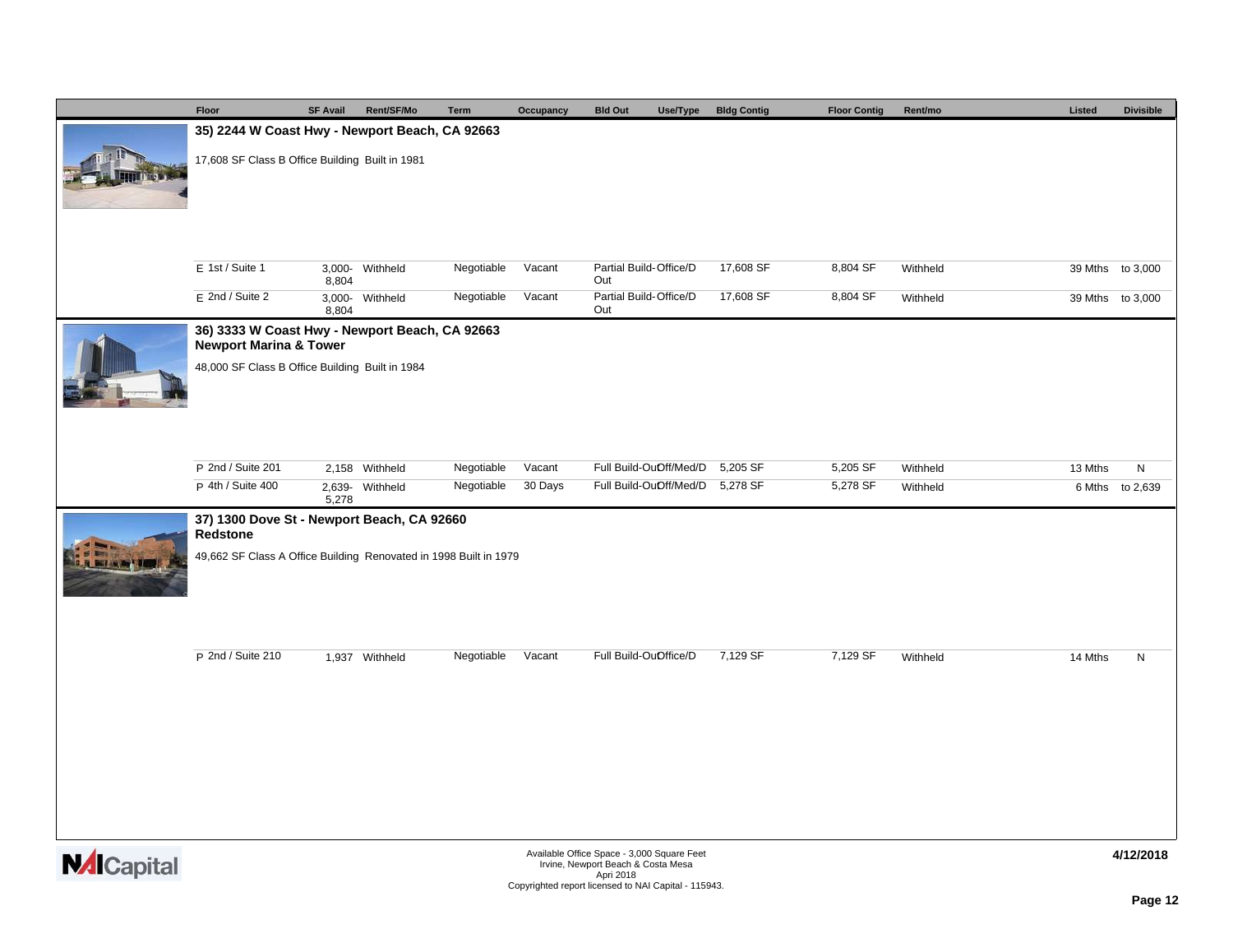|                    | Floor                                                                                                                                                                                      | <b>SF Avail</b> | Rent/SF/Mo      | <b>Term</b> | Occupancy | <b>Bld Out</b><br>Use/Type                                                                                                                            | <b>Bldg Contig</b> | <b>Floor Contig</b> | Rent/mo  | Listed  | <b>Divisible</b> |  |  |  |  |
|--------------------|--------------------------------------------------------------------------------------------------------------------------------------------------------------------------------------------|-----------------|-----------------|-------------|-----------|-------------------------------------------------------------------------------------------------------------------------------------------------------|--------------------|---------------------|----------|---------|------------------|--|--|--|--|
|                    | 35) 2244 W Coast Hwy - Newport Beach, CA 92663                                                                                                                                             |                 |                 |             |           |                                                                                                                                                       |                    |                     |          |         |                  |  |  |  |  |
|                    | 17,608 SF Class B Office Building Built in 1981                                                                                                                                            |                 |                 |             |           |                                                                                                                                                       |                    |                     |          |         |                  |  |  |  |  |
|                    | E 1st / Suite 1                                                                                                                                                                            |                 | 3,000- Withheld | Negotiable  | Vacant    | Partial Build-Office/D                                                                                                                                | 17,608 SF          | 8,804 SF            | Withheld |         | 39 Mths to 3,000 |  |  |  |  |
|                    | E 2nd / Suite 2                                                                                                                                                                            | 8,804<br>8,804  | 3,000- Withheld | Negotiable  | Vacant    | Out<br>Partial Build-Office/D<br>Out                                                                                                                  | 17,608 SF          | 8,804 SF            | Withheld |         | 39 Mths to 3,000 |  |  |  |  |
|                    | 36) 3333 W Coast Hwy - Newport Beach, CA 92663<br><b>Newport Marina &amp; Tower</b>                                                                                                        |                 |                 |             |           |                                                                                                                                                       |                    |                     |          |         |                  |  |  |  |  |
|                    | 48,000 SF Class B Office Building Built in 1984                                                                                                                                            |                 |                 |             |           |                                                                                                                                                       |                    |                     |          |         |                  |  |  |  |  |
|                    | P 2nd / Suite 201                                                                                                                                                                          |                 | 2,158 Withheld  | Negotiable  | Vacant    | Full Build-OuOff/Med/D                                                                                                                                | 5,205 SF           | 5,205 SF            | Withheld | 13 Mths | ${\sf N}$        |  |  |  |  |
|                    | P 4th / Suite 400                                                                                                                                                                          |                 |                 | Negotiable  | 30 Days   |                                                                                                                                                       |                    | 5,278 SF            | Withheld |         | 6 Mths to 2,639  |  |  |  |  |
|                    | Full Build-OuOff/Med/D 5,278 SF<br>2,639- Withheld<br>5,278<br>37) 1300 Dove St - Newport Beach, CA 92660<br>Redstone<br>49,662 SF Class A Office Building Renovated in 1998 Built in 1979 |                 |                 |             |           |                                                                                                                                                       |                    |                     |          |         |                  |  |  |  |  |
|                    | P 2nd / Suite 210                                                                                                                                                                          |                 | 1,937 Withheld  | Negotiable  | Vacant    | Full Build-OuOffice/D                                                                                                                                 | 7,129 SF           | 7,129 SF            | Withheld | 14 Mths | N                |  |  |  |  |
| <b>NAI</b> Capital |                                                                                                                                                                                            |                 |                 |             |           | Available Office Space - 3,000 Square Feet<br>Irvine, Newport Beach & Costa Mesa<br>Apri 2018<br>Copyrighted report licensed to NAI Capital - 115943. |                    |                     |          |         | 4/12/2018        |  |  |  |  |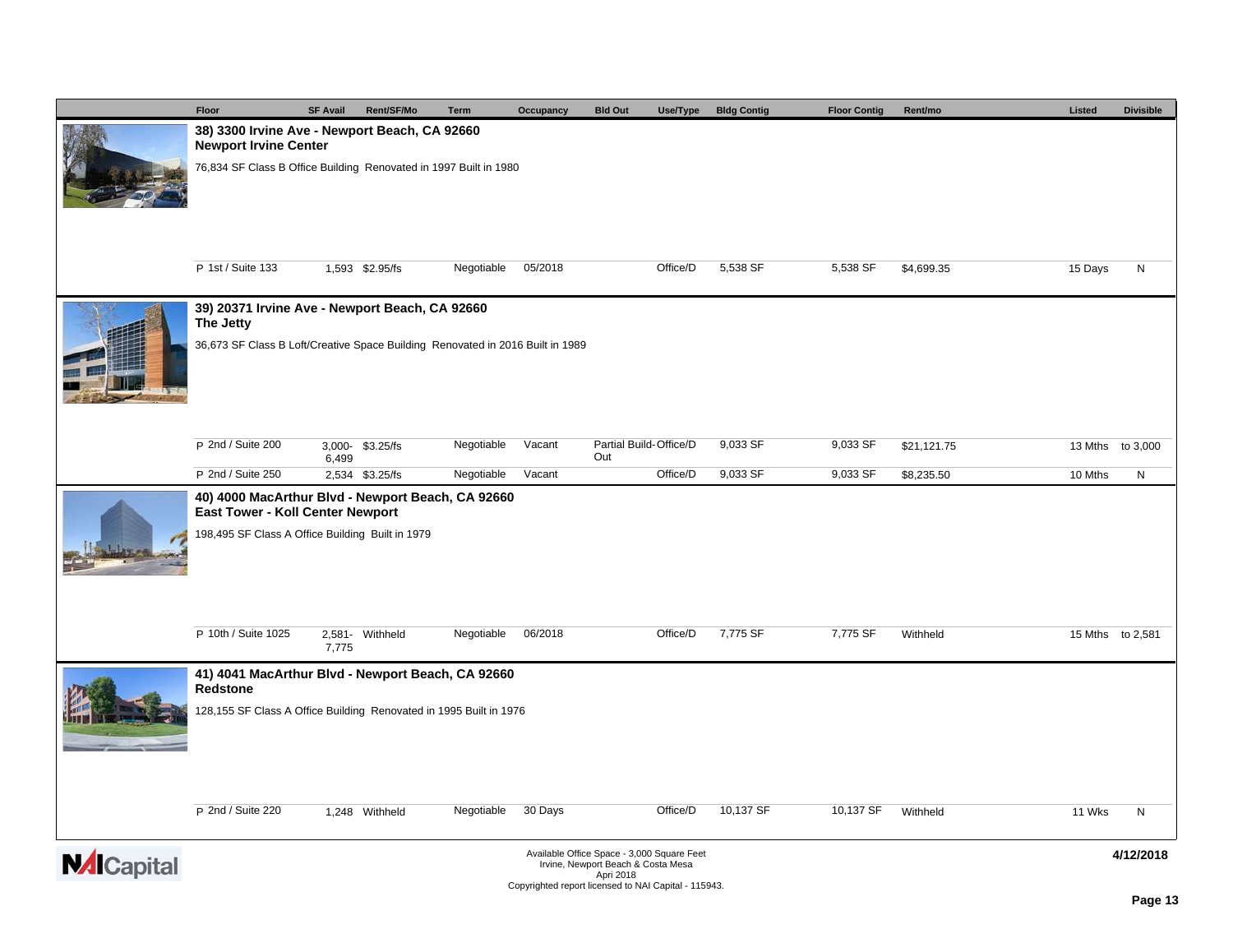|                | Floor                                                                                                                                     | <b>SF Avail</b> | Rent/SF/Mo      | Term       | Occupancy | <b>Bld Out</b>                            | Use/Type | <b>Bldg Contig</b> | <b>Floor Contig</b> | Rent/mo     | Listed  | <b>Divisible</b> |  |
|----------------|-------------------------------------------------------------------------------------------------------------------------------------------|-----------------|-----------------|------------|-----------|-------------------------------------------|----------|--------------------|---------------------|-------------|---------|------------------|--|
|                | 38) 3300 Irvine Ave - Newport Beach, CA 92660<br><b>Newport Irvine Center</b>                                                             |                 |                 |            |           |                                           |          |                    |                     |             |         |                  |  |
|                | 76,834 SF Class B Office Building Renovated in 1997 Built in 1980                                                                         |                 |                 |            |           |                                           |          |                    |                     |             |         |                  |  |
|                | P 1st / Suite 133                                                                                                                         |                 | 1,593 \$2.95/fs | Negotiable | 05/2018   |                                           | Office/D | 5,538 SF           | 5,538 SF            | \$4,699.35  | 15 Days | N                |  |
|                | 39) 20371 Irvine Ave - Newport Beach, CA 92660                                                                                            |                 |                 |            |           |                                           |          |                    |                     |             |         |                  |  |
|                | The Jetty<br>36,673 SF Class B Loft/Creative Space Building Renovated in 2016 Built in 1989                                               |                 |                 |            |           |                                           |          |                    |                     |             |         |                  |  |
|                | P 2nd / Suite 200                                                                                                                         | 6,499           | 3,000-\$3.25/fs | Negotiable | Vacant    | Partial Build-Office/D<br>Out             |          | 9,033 SF           | 9,033 SF            | \$21,121.75 |         | 13 Mths to 3,000 |  |
|                | P 2nd / Suite 250                                                                                                                         |                 | 2,534 \$3.25/fs | Negotiable | Vacant    |                                           | Office/D | 9,033 SF           | 9,033 SF            | \$8,235.50  | 10 Mths | N                |  |
|                | 40) 4000 MacArthur Blvd - Newport Beach, CA 92660<br>East Tower - Koll Center Newport<br>198,495 SF Class A Office Building Built in 1979 |                 |                 |            |           |                                           |          |                    |                     |             |         |                  |  |
|                |                                                                                                                                           |                 |                 |            |           |                                           |          |                    |                     |             |         |                  |  |
|                | P 10th / Suite 1025                                                                                                                       | 7,775           | 2,581- Withheld | Negotiable | 06/2018   |                                           | Office/D | 7,775 SF           | 7,775 SF            | Withheld    |         | 15 Mths to 2,581 |  |
|                | 41) 4041 MacArthur Blvd - Newport Beach, CA 92660<br><b>Redstone</b>                                                                      |                 |                 |            |           |                                           |          |                    |                     |             |         |                  |  |
|                | 128,155 SF Class A Office Building Renovated in 1995 Built in 1976                                                                        |                 |                 |            |           |                                           |          |                    |                     |             |         |                  |  |
|                | P 2nd / Suite 220                                                                                                                         |                 | 1,248 Withheld  | Negotiable | 30 Days   |                                           | Office/D | 10,137 SF          | 10,137 SF           | Withheld    | 11 Wks  | N                |  |
| $\overline{4}$ |                                                                                                                                           |                 |                 |            |           | Available Office Process 2000 Payers Foot |          |                    |                     |             |         | 11100010         |  |

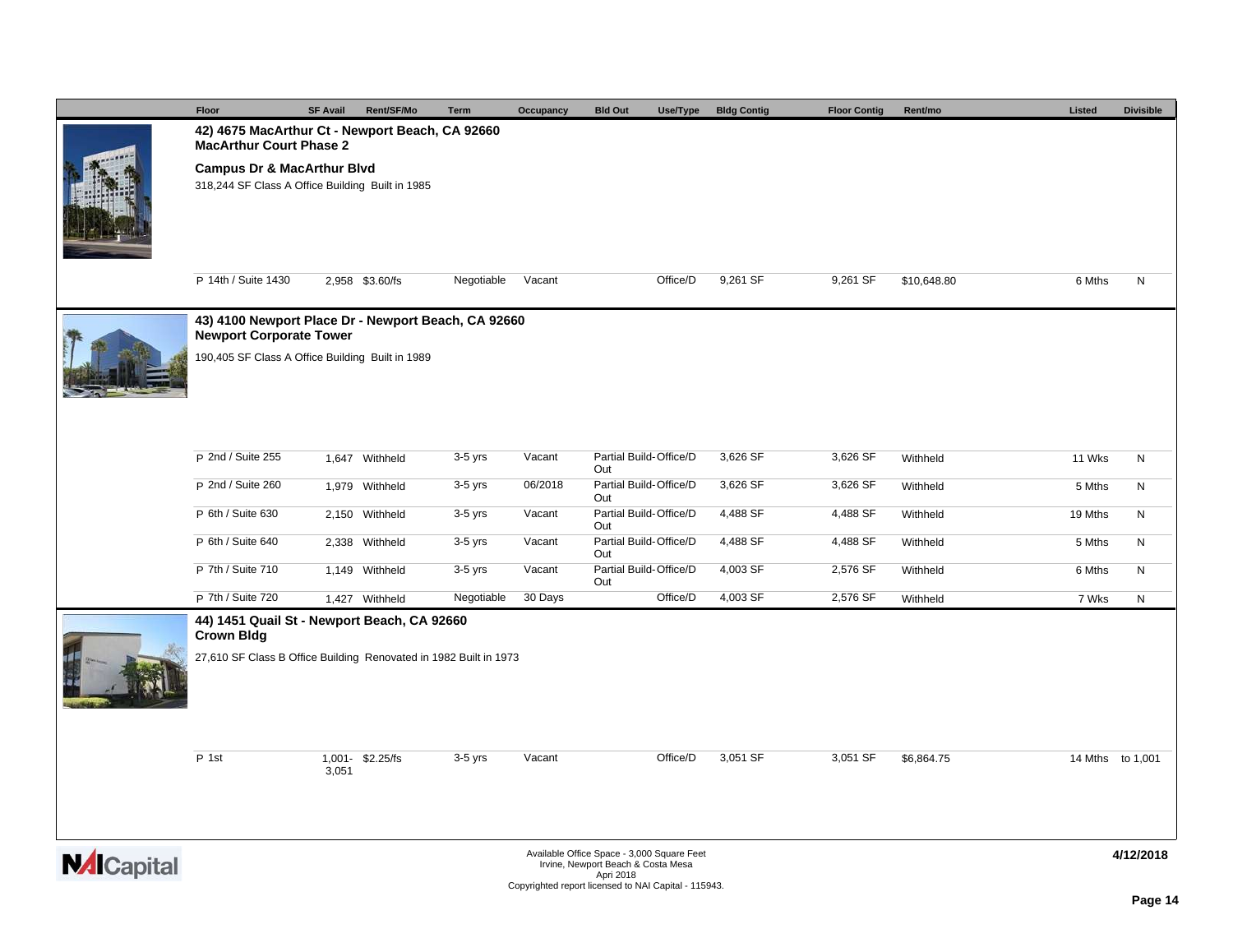|                    | Floor                                                                                     | <b>SF Avail</b> | Rent/SF/Mo       | Term       | Occupancy | <b>Bld Out</b><br>Use/Type                                                                    | <b>Bldg Contig</b> | <b>Floor Contig</b> | Rent/mo     | Listed  | <b>Divisible</b> |
|--------------------|-------------------------------------------------------------------------------------------|-----------------|------------------|------------|-----------|-----------------------------------------------------------------------------------------------|--------------------|---------------------|-------------|---------|------------------|
|                    | 42) 4675 MacArthur Ct - Newport Beach, CA 92660<br><b>MacArthur Court Phase 2</b>         |                 |                  |            |           |                                                                                               |                    |                     |             |         |                  |
|                    | <b>Campus Dr &amp; MacArthur Blvd</b><br>318,244 SF Class A Office Building Built in 1985 |                 |                  |            |           |                                                                                               |                    |                     |             |         |                  |
|                    | P 14th / Suite 1430                                                                       |                 | 2,958 \$3.60/fs  | Negotiable | Vacant    | Office/D                                                                                      | 9,261 SF           | 9,261 SF            | \$10,648.80 | 6 Mths  | N                |
|                    | 43) 4100 Newport Place Dr - Newport Beach, CA 92660<br><b>Newport Corporate Tower</b>     |                 |                  |            |           |                                                                                               |                    |                     |             |         |                  |
|                    | 190,405 SF Class A Office Building Built in 1989                                          |                 |                  |            |           |                                                                                               |                    |                     |             |         |                  |
|                    | P 2nd / Suite 255                                                                         |                 | 1,647 Withheld   | 3-5 yrs    | Vacant    | Partial Build-Office/D<br>Out                                                                 | 3,626 SF           | 3,626 SF            | Withheld    | 11 Wks  | N                |
|                    | P 2nd / Suite 260                                                                         |                 | 1,979 Withheld   | $3-5$ yrs  | 06/2018   | Partial Build-Office/D<br>Out                                                                 | 3,626 SF           | 3,626 SF            | Withheld    | 5 Mths  | N                |
|                    | P 6th / Suite 630                                                                         |                 | 2,150 Withheld   | $3-5$ yrs  | Vacant    | Partial Build-Office/D<br>Out                                                                 | 4,488 SF           | 4,488 SF            | Withheld    | 19 Mths | N                |
|                    | P 6th / Suite 640                                                                         |                 | 2,338 Withheld   | $3-5$ yrs  | Vacant    | Partial Build-Office/D<br>Out                                                                 | 4,488 SF           | 4,488 SF            | Withheld    | 5 Mths  | N                |
|                    | P 7th / Suite 710                                                                         |                 | 1,149 Withheld   | $3-5$ yrs  | Vacant    | Partial Build-Office/D<br>Out                                                                 | 4,003 SF           | 2,576 SF            | Withheld    | 6 Mths  | N                |
|                    | P 7th / Suite 720                                                                         |                 | 1,427 Withheld   | Negotiable | 30 Days   | Office/D                                                                                      | 4,003 SF           | 2,576 SF            | Withheld    | 7 Wks   | N                |
|                    | 44) 1451 Quail St - Newport Beach, CA 92660<br><b>Crown Bldg</b>                          |                 |                  |            |           |                                                                                               |                    |                     |             |         |                  |
|                    | 27,610 SF Class B Office Building Renovated in 1982 Built in 1973                         |                 |                  |            |           |                                                                                               |                    |                     |             |         |                  |
|                    | P 1st                                                                                     | 3,051           | 1,001- \$2.25/fs | $3-5$ yrs  | Vacant    | Office/D                                                                                      | 3,051 SF           | 3,051 SF            | \$6,864.75  |         | 14 Mths to 1,001 |
| <b>NAI</b> Capital |                                                                                           |                 |                  |            |           | Available Office Space - 3,000 Square Feet<br>Irvine, Newport Beach & Costa Mesa<br>Apri 2018 |                    |                     |             |         | 4/12/2018        |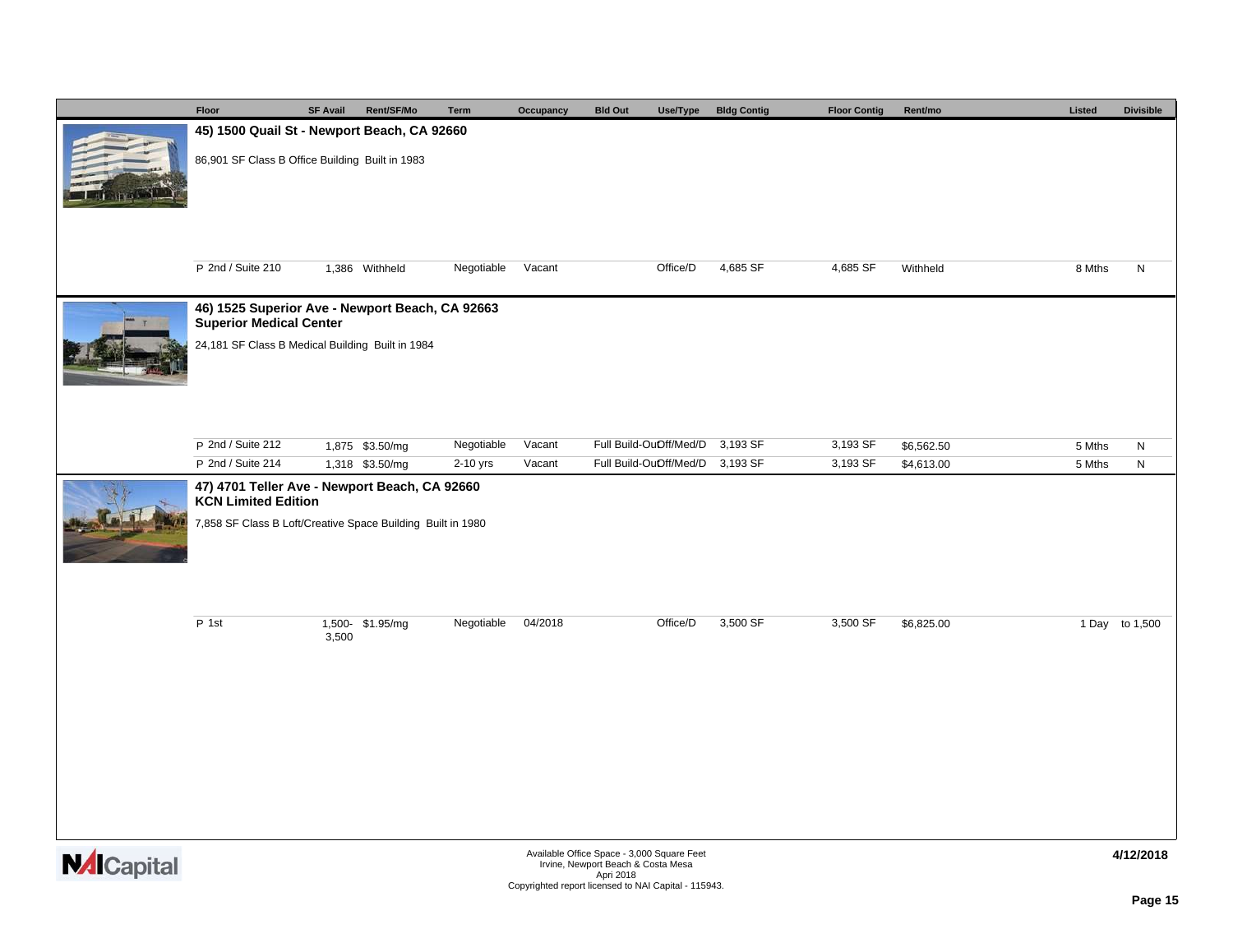|                   | Floor                                                                                                                                      | <b>SF Avail</b> | Rent/SF/Mo       | Term       | Occupancy | <b>Bld Out</b><br>Use/Type                                                                                                                            | <b>Bldg Contig</b> | <b>Floor Contig</b> | Rent/mo    | Listed |  | <b>Divisible</b> |  |
|-------------------|--------------------------------------------------------------------------------------------------------------------------------------------|-----------------|------------------|------------|-----------|-------------------------------------------------------------------------------------------------------------------------------------------------------|--------------------|---------------------|------------|--------|--|------------------|--|
|                   | 45) 1500 Quail St - Newport Beach, CA 92660                                                                                                |                 |                  |            |           |                                                                                                                                                       |                    |                     |            |        |  |                  |  |
|                   | 86,901 SF Class B Office Building Built in 1983                                                                                            |                 |                  |            |           |                                                                                                                                                       |                    |                     |            |        |  |                  |  |
|                   | P 2nd / Suite 210                                                                                                                          |                 | 1,386 Withheld   | Negotiable | Vacant    | Office/D                                                                                                                                              | 4,685 SF           | 4,685 SF            | Withheld   | 8 Mths |  | N                |  |
|                   | 46) 1525 Superior Ave - Newport Beach, CA 92663<br><b>Superior Medical Center</b>                                                          |                 |                  |            |           |                                                                                                                                                       |                    |                     |            |        |  |                  |  |
|                   | 24,181 SF Class B Medical Building Built in 1984                                                                                           |                 |                  |            |           |                                                                                                                                                       |                    |                     |            |        |  |                  |  |
|                   | P 2nd / Suite 212                                                                                                                          |                 | 1,875 \$3.50/mg  | Negotiable | Vacant    | Full Build-OuOff/Med/D                                                                                                                                | 3,193 SF           | 3,193 SF            | \$6,562.50 | 5 Mths |  | $\mathsf{N}$     |  |
|                   | P 2nd / Suite 214                                                                                                                          |                 | 1,318 \$3.50/mg  | 2-10 yrs   | Vacant    | Full Build-OuOff/Med/D 3,193 SF                                                                                                                       |                    | 3,193 SF            | \$4,613.00 | 5 Mths |  | $\mathsf{N}$     |  |
|                   | 47) 4701 Teller Ave - Newport Beach, CA 92660<br><b>KCN Limited Edition</b><br>7,858 SF Class B Loft/Creative Space Building Built in 1980 |                 |                  |            |           |                                                                                                                                                       |                    |                     |            |        |  |                  |  |
|                   | P 1st                                                                                                                                      | 3,500           | 1,500- \$1.95/mg | Negotiable | 04/2018   | Office/D                                                                                                                                              | 3,500 SF           | 3,500 SF            | \$6,825.00 |        |  | 1 Day to 1,500   |  |
|                   |                                                                                                                                            |                 |                  |            |           |                                                                                                                                                       |                    |                     |            |        |  |                  |  |
| <b>M</b> ICapital |                                                                                                                                            |                 |                  |            |           | Available Office Space - 3,000 Square Feet<br>Irvine, Newport Beach & Costa Mesa<br>Apri 2018<br>Copyrighted report licensed to NAI Capital - 115943. |                    |                     |            |        |  | 4/12/2018        |  |